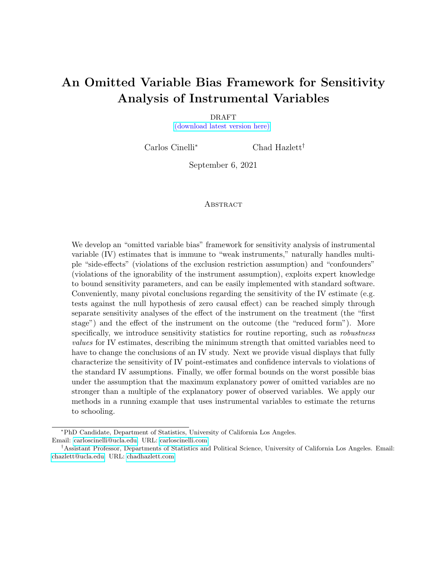# <span id="page-0-0"></span>An Omitted Variable Bias Framework for Sensitivity Analysis of Instrumental Variables

DRAFT [\(download latest version here\)](https://carloscinelli.com/files/Cinelli%20and%20Hazlett%20(2020)%20-%20OVB%20for%20IV.pdf)

Carlos Cinelli<sup>∗</sup> Chad Hazlett†

September 6, 2021

#### **ABSTRACT**

We develop an "omitted variable bias" framework for sensitivity analysis of instrumental variable (IV) estimates that is immune to "weak instruments," naturally handles multiple "side-effects" (violations of the exclusion restriction assumption) and "confounders" (violations of the ignorability of the instrument assumption), exploits expert knowledge to bound sensitivity parameters, and can be easily implemented with standard software. Conveniently, many pivotal conclusions regarding the sensitivity of the IV estimate (e.g. tests against the null hypothesis of zero causal effect) can be reached simply through separate sensitivity analyses of the effect of the instrument on the treatment (the "first stage") and the effect of the instrument on the outcome (the "reduced form"). More specifically, we introduce sensitivity statistics for routine reporting, such as *robustness* values for IV estimates, describing the minimum strength that omitted variables need to have to change the conclusions of an IV study. Next we provide visual displays that fully characterize the sensitivity of IV point-estimates and confidence intervals to violations of the standard IV assumptions. Finally, we offer formal bounds on the worst possible bias under the assumption that the maximum explanatory power of omitted variables are no stronger than a multiple of the explanatory power of observed variables. We apply our methods in a running example that uses instrumental variables to estimate the returns to schooling.

<sup>∗</sup>PhD Candidate, Department of Statistics, University of California Los Angeles. Email: [carloscinelli@ucla.edu.](mailto:carloscinelli@ucla.edu) URL: [carloscinelli.com.](https://carloscinelli.com)

<sup>†</sup>Assistant Professor, Departments of Statistics and Political Science, University of California Los Angeles. Email: [chazlett@ucla.edu.](mailto:chazlett@ucla.edu) URL: [chadhazlett.com.](https://chadhazlett.com)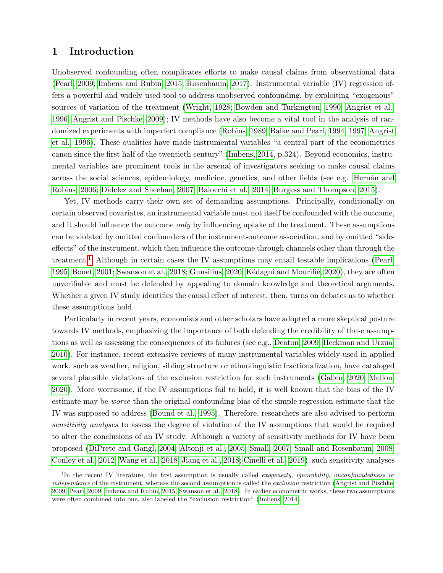# 1 Introduction

Unobserved confounding often complicates efforts to make causal claims from observational data [\(Pearl, 2009;](#page-33-0) [Imbens and Rubin, 2015;](#page-33-1) [Rosenbaum, 2017\)](#page-33-2). Instrumental variable (IV) regression offers a powerful and widely used tool to address unobserved confounding, by exploiting "exogenous" sources of variation of the treatment [\(Wright, 1928;](#page-34-0) [Bowden and Turkington, 1990;](#page-31-0) [Angrist et al.,](#page-31-1) [1996;](#page-31-1) [Angrist and Pischke, 2009\)](#page-31-2); IV methods have also become a vital tool in the analysis of randomized experiments with imperfect compliance [\(Robins, 1989;](#page-33-3) [Balke and Pearl, 1994,](#page-31-3) [1997;](#page-31-4) [Angrist](#page-31-1) [et al., 1996\)](#page-31-1). These qualities have made instrumental variables "a central part of the econometrics canon since the first half of the twentieth century" [\(Imbens, 2014,](#page-33-4) p.324). Beyond economics, instrumental variables are prominent tools in the arsenal of investigators seeking to make causal claims across the social sciences, epidemiology, medicine, genetics, and other fields (see e.g. Hernán and [Robins, 2006;](#page-33-5) [Didelez and Sheehan, 2007;](#page-32-0) [Baiocchi et al., 2014;](#page-31-5) [Burgess and Thompson, 2015\)](#page-32-1).

Yet, IV methods carry their own set of demanding assumptions. Principally, conditionally on certain observed covariates, an instrumental variable must not itself be confounded with the outcome, and it should influence the outcome *only* by influencing uptake of the treatment. These assumptions can be violated by omitted confounders of the instrument-outcome association, and by omitted "sideeffects" of the instrument, which then influence the outcome through channels other than through the treatment.<sup>[1](#page-0-0)</sup> Although in certain cases the IV assumptions may entail testable implications [\(Pearl,](#page-33-6) [1995;](#page-33-6) [Bonet, 2001;](#page-31-6) [Swanson et al., 2018;](#page-34-1) [Gunsilius, 2020;](#page-32-2) Kédagni and Mourifié, 2020), they are often unverifiable and must be defended by appealing to domain knowledge and theoretical arguments. Whether a given IV study identifies the causal effect of interest, then, turns on debates as to whether these assumptions hold.

Particularly in recent years, economists and other scholars have adopted a more skeptical posture towards IV methods, emphasizing the importance of both defending the credibility of these assumptions as well as assessing the consequences of its failures (see e.g., [Deaton, 2009;](#page-32-3) [Heckman and Urzua,](#page-32-4) [2010\)](#page-32-4). For instance, recent extensive reviews of many instrumental variables widely-used in applied work, such as weather, religion, sibling structure or ethnolinguistic fractionalization, have cataloged several plausible violations of the exclusion restriction for such instruments [\(Gallen, 2020;](#page-32-5) [Mellon,](#page-33-8) [2020\)](#page-33-8). More worrisome, if the IV assumptions fail to hold, it is well known that the bias of the IV estimate may be worse than the original confounding bias of the simple regression estimate that the IV was supposed to address [\(Bound et al., 1995\)](#page-31-7). Therefore, researchers are also advised to perform sensitivity analyses to assess the degree of violation of the IV assumptions that would be required to alter the conclusions of an IV study. Although a variety of sensitivity methods for IV have been proposed [\(DiPrete and Gangl, 2004;](#page-32-6) [Altonji et al., 2005;](#page-31-8) [Small, 2007;](#page-33-9) [Small and Rosenbaum, 2008;](#page-33-10) [Conley et al., 2012;](#page-32-7) [Wang et al., 2018;](#page-34-2) [Jiang et al., 2018;](#page-33-11) [Cinelli et al., 2019\)](#page-32-8), such sensitivity analyses

<sup>&</sup>lt;sup>1</sup>In the recent IV literature, the first assumption is usually called *exogeneity, ignorability, unconfoundedness* or independence of the instrument, whereas the second assumption is called the exclusion restriction [\(Angrist and Pischke,](#page-31-2) [2009;](#page-31-2) [Pearl, 2009;](#page-33-0) [Imbens and Rubin, 2015;](#page-33-1) [Swanson et al., 2018\)](#page-34-1). In earlier econometric works, these two assumptions were often combined into one, also labeled the "exclusion restriction" [\(Imbens, 2014\)](#page-33-4).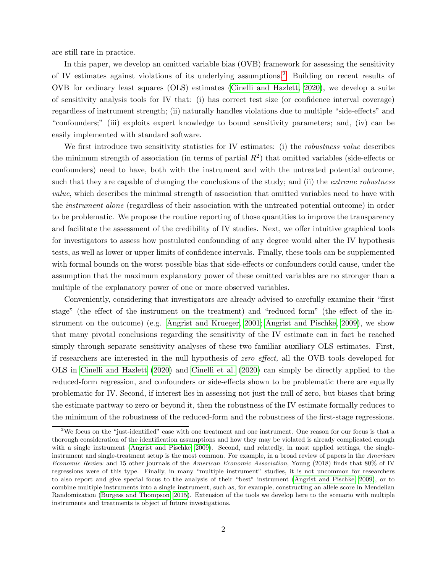are still rare in practice.

In this paper, we develop an omitted variable bias (OVB) framework for assessing the sensitivity of IV estimates against violations of its underlying assumptions.[2](#page-0-0) Building on recent results of OVB for ordinary least squares (OLS) estimates [\(Cinelli and Hazlett, 2020\)](#page-32-9), we develop a suite of sensitivity analysis tools for IV that: (i) has correct test size (or confidence interval coverage) regardless of instrument strength; (ii) naturally handles violations due to multiple "side-effects" and "confounders;" (iii) exploits expert knowledge to bound sensitivity parameters; and, (iv) can be easily implemented with standard software.

We first introduce two sensitivity statistics for IV estimates: (i) the *robustness value* describes the minimum strength of association (in terms of partial  $R^2$ ) that omitted variables (side-effects or confounders) need to have, both with the instrument and with the untreated potential outcome, such that they are capable of changing the conclusions of the study; and (ii) the *extreme robustness* value, which describes the minimal strength of association that omitted variables need to have with the instrument alone (regardless of their association with the untreated potential outcome) in order to be problematic. We propose the routine reporting of those quantities to improve the transparency and facilitate the assessment of the credibility of IV studies. Next, we offer intuitive graphical tools for investigators to assess how postulated confounding of any degree would alter the IV hypothesis tests, as well as lower or upper limits of confidence intervals. Finally, these tools can be supplemented with formal bounds on the worst possible bias that side-effects or confounders could cause, under the assumption that the maximum explanatory power of these omitted variables are no stronger than a multiple of the explanatory power of one or more observed variables.

Conveniently, considering that investigators are already advised to carefully examine their "first stage" (the effect of the instrument on the treatment) and "reduced form" (the effect of the instrument on the outcome) (e.g. [Angrist and Krueger, 2001;](#page-31-9) [Angrist and Pischke, 2009\)](#page-31-2), we show that many pivotal conclusions regarding the sensitivity of the IV estimate can in fact be reached simply through separate sensitivity analyses of these two familiar auxiliary OLS estimates. First, if researchers are interested in the null hypothesis of zero effect, all the OVB tools developed for OLS in [Cinelli and Hazlett](#page-32-9) [\(2020\)](#page-32-9) and [Cinelli et al.](#page-32-10) [\(2020\)](#page-32-10) can simply be directly applied to the reduced-form regression, and confounders or side-effects shown to be problematic there are equally problematic for IV. Second, if interest lies in assessing not just the null of zero, but biases that bring the estimate partway to zero or beyond it, then the robustness of the IV estimate formally reduces to the minimum of the robustness of the reduced-form and the robustness of the first-stage regressions.

<sup>&</sup>lt;sup>2</sup>We focus on the "just-identified" case with one treatment and one instrument. One reason for our focus is that a thorough consideration of the identification assumptions and how they may be violated is already complicated enough with a single instrument [\(Angrist and Pischke, 2009\)](#page-31-2). Second, and relatedly, in most applied settings, the singleinstrument and single-treatment setup is the most common. For example, in a broad review of papers in the American Economic Review and 15 other journals of the American Economic Association, Young (2018) finds that 80% of IV regressions were of this type. Finally, in many "multiple instrument" studies, it is not uncommon for researchers to also report and give special focus to the analysis of their "best" instrument [\(Angrist and Pischke, 2009\)](#page-31-2), or to combine multiple instruments into a single instrument, such as, for example, constructing an allele score in Mendelian Randomization [\(Burgess and Thompson, 2015\)](#page-32-1). Extension of the tools we develop here to the scenario with multiple instruments and treatments is object of future investigations.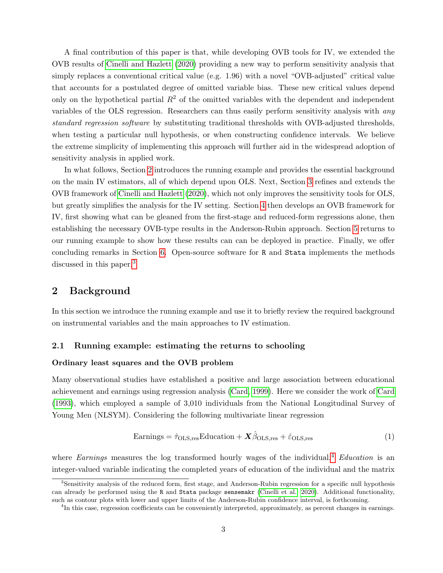A final contribution of this paper is that, while developing OVB tools for IV, we extended the OVB results of [Cinelli and Hazlett](#page-32-9) [\(2020\)](#page-32-9) providing a new way to perform sensitivity analysis that simply replaces a conventional critical value (e.g. 1.96) with a novel "OVB-adjusted" critical value that accounts for a postulated degree of omitted variable bias. These new critical values depend only on the hypothetical partial  $R^2$  of the omitted variables with the dependent and independent variables of the OLS regression. Researchers can thus easily perform sensitivity analysis with any standard regression software by substituting traditional thresholds with OVB-adjusted thresholds, when testing a particular null hypothesis, or when constructing confidence intervals. We believe the extreme simplicity of implementing this approach will further aid in the widespread adoption of sensitivity analysis in applied work.

In what follows, Section [2](#page-3-0) introduces the running example and provides the essential background on the main IV estimators, all of which depend upon OLS. Next, Section [3](#page-11-0) refines and extends the OVB framework of [Cinelli and Hazlett](#page-32-9) [\(2020\)](#page-32-9), which not only improves the sensitivity tools for OLS, but greatly simplifies the analysis for the IV setting. Section [4](#page-19-0) then develops an OVB framework for IV, first showing what can be gleaned from the first-stage and reduced-form regressions alone, then establishing the necessary OVB-type results in the Anderson-Rubin approach. Section [5](#page-26-0) returns to our running example to show how these results can can be deployed in practice. Finally, we offer concluding remarks in Section [6.](#page-30-0) Open-source software for R and Stata implements the methods discussed in this paper.<sup>[3](#page-0-0)</sup>

# <span id="page-3-0"></span>2 Background

In this section we introduce the running example and use it to briefly review the required background on instrumental variables and the main approaches to IV estimation.

### 2.1 Running example: estimating the returns to schooling

#### Ordinary least squares and the OVB problem

Many observational studies have established a positive and large association between educational achievement and earnings using regression analysis [\(Card, 1999\)](#page-32-11). Here we consider the work of [Card](#page-32-12) [\(1993\)](#page-32-12), which employed a sample of 3,010 individuals from the National Longitudinal Survey of Young Men (NLSYM). Considering the following multivariate linear regression

$$
\text{Earnings} = \hat{\tau}_{\text{OLS,res}} \text{Education} + \mathbf{X}\hat{\beta}_{\text{OLS,res}} + \hat{\varepsilon}_{\text{OLS,res}} \tag{1}
$$

where Earnings measures the log transformed hourly wages of the individual,<sup>[4](#page-0-0)</sup> Education is an integer-valued variable indicating the completed years of education of the individual and the matrix

<sup>3</sup>Sensitivity analysis of the reduced form, first stage, and Anderson-Rubin regression for a specific null hypothesis can already be performed using the R and Stata package sensemakr [\(Cinelli et al., 2020\)](#page-32-10). Additional functionality, such as contour plots with lower and upper limits of the Anderson-Rubin confidence interval, is forthcoming.

<sup>&</sup>lt;sup>4</sup>In this case, regression coefficients can be conveniently interpreted, approximately, as percent changes in earnings.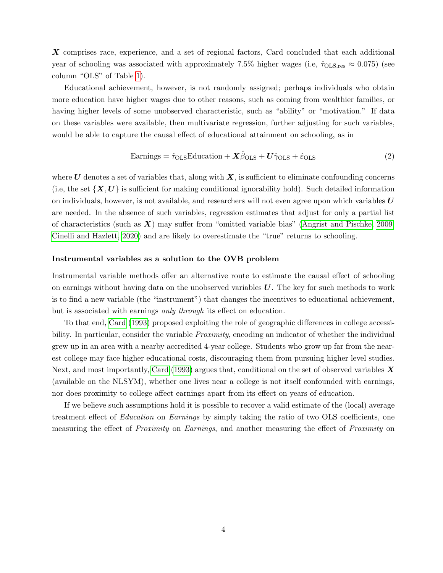X comprises race, experience, and a set of regional factors, Card concluded that each additional year of schooling was associated with approximately 7.5% higher wages (i.e,  $\hat{\tau}_{OLS,res} \approx 0.075$ ) (see column "OLS" of Table [1\)](#page-5-0).

Educational achievement, however, is not randomly assigned; perhaps individuals who obtain more education have higher wages due to other reasons, such as coming from wealthier families, or having higher levels of some unobserved characteristic, such as "ability" or "motivation." If data on these variables were available, then multivariate regression, further adjusting for such variables, would be able to capture the causal effect of educational attainment on schooling, as in

$$
\arning s = \hat{\tau}_{OLS} = \dot{\tau}_{OLS} + X\hat{\beta}_{OLS} + U\hat{\gamma}_{OLS} + \hat{\varepsilon}_{OLS}
$$
\n(2)

where U denotes a set of variables that, along with  $X$ , is sufficient to eliminate confounding concerns (i.e, the set  $\{X, U\}$  is sufficient for making conditional ignorability hold). Such detailed information on individuals, however, is not available, and researchers will not even agree upon which variables  $U$ are needed. In the absence of such variables, regression estimates that adjust for only a partial list of characteristics (such as  $X$ ) may suffer from "omitted variable bias" [\(Angrist and Pischke, 2009;](#page-31-2) [Cinelli and Hazlett, 2020\)](#page-32-9) and are likely to overestimate the "true" returns to schooling.

#### Instrumental variables as a solution to the OVB problem

Instrumental variable methods offer an alternative route to estimate the causal effect of schooling on earnings without having data on the unobserved variables  $U$ . The key for such methods to work is to find a new variable (the "instrument") that changes the incentives to educational achievement, but is associated with earnings *only through* its effect on education.

To that end, [Card](#page-32-12) [\(1993\)](#page-32-12) proposed exploiting the role of geographic differences in college accessibility. In particular, consider the variable *Proximity*, encoding an indicator of whether the individual grew up in an area with a nearby accredited 4-year college. Students who grow up far from the nearest college may face higher educational costs, discouraging them from pursuing higher level studies. Next, and most importantly, [Card](#page-32-12) [\(1993\)](#page-32-12) argues that, conditional on the set of observed variables  $\bm{X}$ (available on the NLSYM), whether one lives near a college is not itself confounded with earnings, nor does proximity to college affect earnings apart from its effect on years of education.

If we believe such assumptions hold it is possible to recover a valid estimate of the (local) average treatment effect of Education on Earnings by simply taking the ratio of two OLS coefficients, one measuring the effect of *Proximity* on *Earnings*, and another measuring the effect of *Proximity* on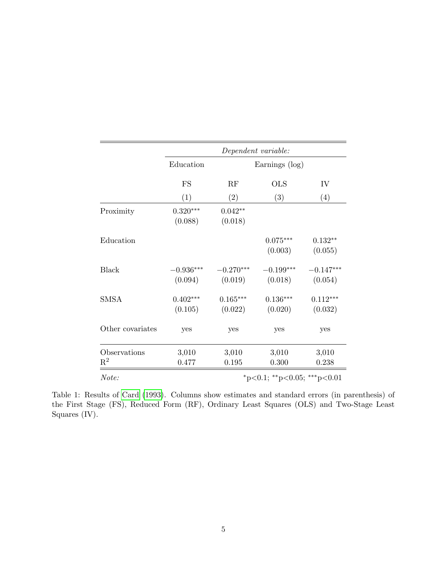<span id="page-5-0"></span>

|                                |                                         |                        | Dependent variable:    |                        |  |
|--------------------------------|-----------------------------------------|------------------------|------------------------|------------------------|--|
|                                | Education                               |                        | Earnings (log)         |                        |  |
|                                | FS                                      | RF                     | <b>OLS</b>             | IV                     |  |
|                                | (1)                                     | (2)                    | (3)                    | (4)                    |  |
| Proximity                      | $0.320***$<br>(0.088)                   | $0.042**$<br>(0.018)   |                        |                        |  |
| Education                      |                                         |                        | $0.075***$<br>(0.003)  | $0.132**$<br>(0.055)   |  |
| <b>Black</b>                   | $-0.936***$<br>(0.094)                  | $-0.270***$<br>(0.019) | $-0.199***$<br>(0.018) | $-0.147***$<br>(0.054) |  |
| <b>SMSA</b>                    | $0.402***$<br>(0.105)                   | $0.165***$<br>(0.022)  | $0.136***$<br>(0.020)  | $0.112***$<br>(0.032)  |  |
| Other covariates               | yes                                     | yes                    | yes                    | yes                    |  |
| Observations<br>$\mathrm{R}^2$ | 3,010<br>0.477                          | 3,010<br>0.195         | 3,010<br>0.300         | 3,010<br>0.238         |  |
| Note:                          | $*_{p<0.1;}$ $*_{p<0.05;}$ $*_{p<0.01}$ |                        |                        |                        |  |

Table 1: Results of [Card](#page-32-12) [\(1993\)](#page-32-12). Columns show estimates and standard errors (in parenthesis) of the First Stage (FS), Reduced Form (RF), Ordinary Least Squares (OLS) and Two-Stage Least Squares (IV).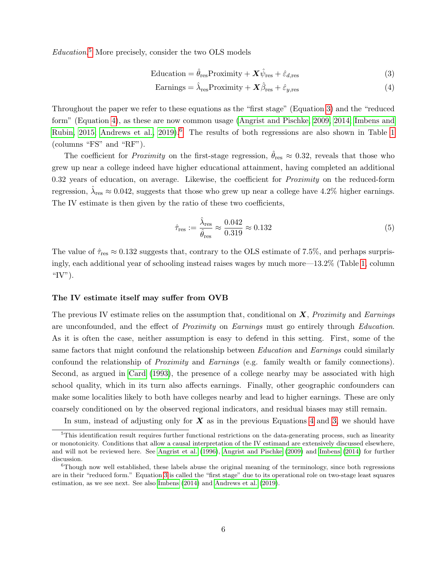Education. [5](#page-0-0) More precisely, consider the two OLS models

$$
Education = \hat{\theta}_{\text{res}} \text{Proximity} + \mathbf{X}\hat{\psi}_{\text{res}} + \hat{\varepsilon}_{d,\text{res}} \tag{3}
$$

<span id="page-6-1"></span><span id="page-6-0"></span>
$$
Earnings = \hat{\lambda}_{res}Proximity + \mathbf{X}\hat{\beta}_{res} + \hat{\varepsilon}_{y, res}
$$
\n(4)

Throughout the paper we refer to these equations as the "first stage" (Equation [3\)](#page-6-0) and the "reduced form" (Equation [4\)](#page-6-1), as these are now common usage [\(Angrist and Pischke, 2009,](#page-31-2) [2014;](#page-31-10) [Imbens and](#page-33-1) [Rubin, 2015;](#page-33-1) [Andrews et al., 2019\)](#page-31-11).<sup>[6](#page-0-0)</sup> The results of both regressions are also shown in Table [1](#page-5-0) (columns "FS" and "RF").

The coefficient for *Proximity* on the first-stage regression,  $\hat{\theta}_{res} \approx 0.32$ , reveals that those who grew up near a college indeed have higher educational attainment, having completed an additional 0.32 years of education, on average. Likewise, the coefficient for *Proximity* on the reduced-form regression,  $\hat{\lambda}_{\text{res}} \approx 0.042$ , suggests that those who grew up near a college have 4.2% higher earnings. The IV estimate is then given by the ratio of these two coefficients,

$$
\hat{\tau}_{\text{res}} := \frac{\hat{\lambda}_{\text{res}}}{\hat{\theta}_{\text{res}}} \approx \frac{0.042}{0.319} \approx 0.132 \tag{5}
$$

The value of  $\hat{\tau}_{res} \approx 0.132$  suggests that, contrary to the OLS estimate of 7.5%, and perhaps surprisingly, each additional year of schooling instead raises wages by much more—13.2% (Table [1,](#page-5-0) column " $IV$ ").

#### The IV estimate itself may suffer from OVB

The previous IV estimate relies on the assumption that, conditional on  $\boldsymbol{X}$ , Proximity and Earnings are unconfounded, and the effect of *Proximity* on *Earnings* must go entirely through *Education*. As it is often the case, neither assumption is easy to defend in this setting. First, some of the same factors that might confound the relationship between *Education* and *Earnings* could similarly confound the relationship of Proximity and Earnings (e.g. family wealth or family connections). Second, as argued in [Card](#page-32-12) [\(1993\)](#page-32-12), the presence of a college nearby may be associated with high school quality, which in its turn also affects earnings. Finally, other geographic confounders can make some localities likely to both have colleges nearby and lead to higher earnings. These are only coarsely conditioned on by the observed regional indicators, and residual biases may still remain.

In sum, instead of adjusting only for  $X$  as in the previous Equations [4](#page-6-1) and [3,](#page-6-0) we should have

 $5$ This identification result requires further functional restrictions on the data-generating process, such as linearity or monotonicity. Conditions that allow a causal interpretation of the IV estimand are extensively discussed elsewhere, and will not be reviewed here. See [Angrist et al.](#page-31-1) [\(1996\)](#page-31-1), [Angrist and Pischke](#page-31-2) [\(2009\)](#page-31-2) and [Imbens](#page-33-4) [\(2014\)](#page-33-4) for further discussion.

<sup>6</sup>Though now well established, these labels abuse the original meaning of the terminology, since both regressions are in their "reduced form." Equation [3](#page-6-0) is called the "first stage" due to its operational role on two-stage least squares estimation, as we see next. See also [Imbens](#page-33-4) [\(2014\)](#page-33-4) and [Andrews et al.](#page-31-11) [\(2019\)](#page-31-11).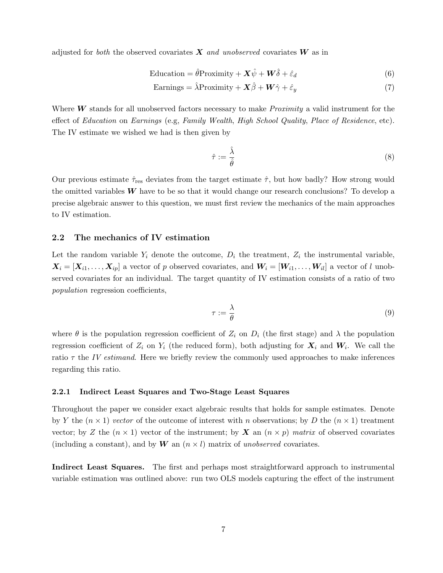adjusted for both the observed covariates  $\boldsymbol{X}$  and unobserved covariates  $\boldsymbol{W}$  as in

$$
Equation = \hat{\theta} \text{Proximity} + \mathbf{X}\hat{\psi} + \mathbf{W}\hat{\delta} + \hat{\varepsilon}_d \tag{6}
$$

$$
Earnings = \hat{\lambda}Proximity + \mathbf{X}\hat{\beta} + \mathbf{W}\hat{\gamma} + \hat{\varepsilon}_y \tag{7}
$$

Where  $W$  stands for all unobserved factors necessary to make *Proximity* a valid instrument for the effect of Education on Earnings (e.g, Family Wealth, High School Quality, Place of Residence, etc). The IV estimate we wished we had is then given by

$$
\hat{\tau} := \frac{\hat{\lambda}}{\hat{\theta}}\tag{8}
$$

Our previous estimate  $\hat{\tau}_{res}$  deviates from the target estimate  $\hat{\tau}$ , but how badly? How strong would the omitted variables  $W$  have to be so that it would change our research conclusions? To develop a precise algebraic answer to this question, we must first review the mechanics of the main approaches to IV estimation.

#### <span id="page-7-0"></span>2.2 The mechanics of IV estimation

Let the random variable  $Y_i$  denote the outcome,  $D_i$  the treatment,  $Z_i$  the instrumental variable,  $X_i = [X_{i1}, \ldots, X_{ip}]$  a vector of p observed covariates, and  $W_i = [W_{i1}, \ldots, W_{il}]$  a vector of l unobserved covariates for an individual. The target quantity of IV estimation consists of a ratio of two population regression coefficients,

<span id="page-7-1"></span>
$$
\tau := \frac{\lambda}{\theta} \tag{9}
$$

where  $\theta$  is the population regression coefficient of  $Z_i$  on  $D_i$  (the first stage) and  $\lambda$  the population regression coefficient of  $Z_i$  on  $Y_i$  (the reduced form), both adjusting for  $X_i$  and  $W_i$ . We call the ratio  $\tau$  the IV estimand. Here we briefly review the commonly used approaches to make inferences regarding this ratio.

#### 2.2.1 Indirect Least Squares and Two-Stage Least Squares

Throughout the paper we consider exact algebraic results that holds for sample estimates. Denote by Y the  $(n \times 1)$  vector of the outcome of interest with n observations; by D the  $(n \times 1)$  treatment vector; by Z the  $(n \times 1)$  vector of the instrument; by X an  $(n \times p)$  matrix of observed covariates (including a constant), and by W an  $(n \times l)$  matrix of unobserved covariates.

Indirect Least Squares. The first and perhaps most straightforward approach to instrumental variable estimation was outlined above: run two OLS models capturing the effect of the instrument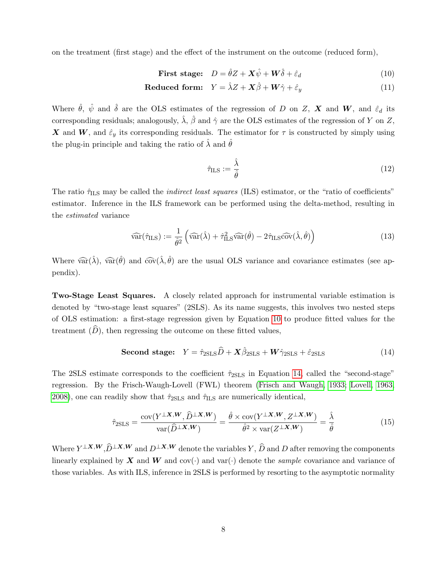on the treatment (first stage) and the effect of the instrument on the outcome (reduced form),

First stage: 
$$
D = \hat{\theta}Z + \mathbf{X}\hat{\psi} + \mathbf{W}\hat{\delta} + \hat{\varepsilon}_d
$$
 (10)

$$
Reduced form: \quad Y = \hat{\lambda}Z + \mathbf{X}\hat{\beta} + \mathbf{W}\hat{\gamma} + \hat{\varepsilon}_y \tag{11}
$$

Where  $\hat{\theta}$ ,  $\hat{\psi}$  and  $\hat{\delta}$  are the OLS estimates of the regression of D on Z, X and W, and  $\hat{\varepsilon}_d$  its corresponding residuals; analogously,  $\hat{\lambda}$ ,  $\hat{\beta}$  and  $\hat{\gamma}$  are the OLS estimates of the regression of Y on Z, X and W, and  $\hat{\epsilon}_y$  its corresponding residuals. The estimator for  $\tau$  is constructed by simply using the plug-in principle and taking the ratio of  $\lambda$  and  $\hat{\theta}$ 

<span id="page-8-1"></span><span id="page-8-0"></span>
$$
\hat{\tau}_{\text{ILS}} := \frac{\hat{\lambda}}{\hat{\theta}} \tag{12}
$$

The ratio  $\hat{\tau}_{\text{ILS}}$  may be called the *indirect least squares* (ILS) estimator, or the "ratio of coefficients" estimator. Inference in the ILS framework can be performed using the delta-method, resulting in the estimated variance

$$
\widehat{\text{var}}(\hat{\tau}_{\text{ILS}}) := \frac{1}{\hat{\theta}^2} \left( \widehat{\text{var}}(\hat{\lambda}) + \hat{\tau}_{\text{ILS}}^2 \widehat{\text{var}}(\hat{\theta}) - 2 \hat{\tau}_{\text{ILS}} \widehat{\text{cov}}(\hat{\lambda}, \hat{\theta}) \right)
$$
(13)

Where  $\widehat{\text{var}}(\hat{\lambda})$ ,  $\widehat{\text{var}}(\hat{\theta})$  and  $\widehat{\text{cov}}(\hat{\lambda}, \hat{\theta})$  are the usual OLS variance and covariance estimates (see appendix).

Two-Stage Least Squares. A closely related approach for instrumental variable estimation is denoted by "two-stage least squares" (2SLS). As its name suggests, this involves two nested steps of OLS estimation: a first-stage regression given by Equation [10](#page-8-0) to produce fitted values for the treatment  $(D)$ , then regressing the outcome on these fitted values,

**Second stage:** 
$$
Y = \hat{\tau}_{2SLS} \hat{D} + \mathbf{X} \hat{\beta}_{2SLS} + \mathbf{W} \hat{\gamma}_{2SLS} + \hat{\varepsilon}_{2SLS}
$$
 (14)

The 2SLS estimate corresponds to the coefficient  $\hat{\tau}_{2SLS}$  in Equation [14,](#page-8-1) called the "second-stage" regression. By the Frisch-Waugh-Lovell (FWL) theorem [\(Frisch and Waugh, 1933;](#page-32-13) [Lovell, 1963,](#page-33-12) [2008\)](#page-33-13), one can readily show that  $\hat{\tau}_{2SLS}$  and  $\hat{\tau}_{ILS}$  are numerically identical,

$$
\hat{\tau}_{2SLS} = \frac{\text{cov}(Y^{\perp X, W}, \hat{D}^{\perp X, W})}{\text{var}(\hat{D}^{\perp X, W})} = \frac{\hat{\theta} \times \text{cov}(Y^{\perp X, W}, Z^{\perp X, W})}{\hat{\theta}^2 \times \text{var}(Z^{\perp X, W})} = \frac{\hat{\lambda}}{\hat{\theta}} \tag{15}
$$

Where  $Y^{\perp X, W}, \widehat{D}^{\perp X, W}$  and  $D^{\perp X, W}$  denote the variables  $Y, \widehat{D}$  and  $D$  after removing the components linearly explained by X and W and  $cov(\cdot)$  and  $var(\cdot)$  denote the *sample* covariance and variance of those variables. As with ILS, inference in 2SLS is performed by resorting to the asymptotic normality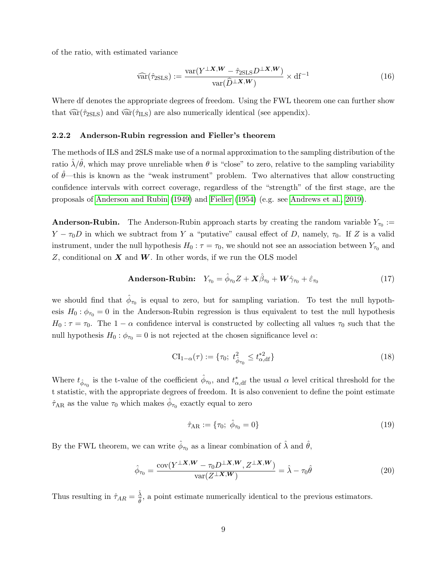of the ratio, with estimated variance

$$
\widehat{\text{var}}(\hat{\tau}_{2\text{SLS}}) := \frac{\text{var}(Y^{\perp X, W} - \hat{\tau}_{2\text{SLS}} D^{\perp X, W})}{\text{var}(\hat{D}^{\perp X, W})} \times \text{df}^{-1}
$$
(16)

Where df denotes the appropriate degrees of freedom. Using the FWL theorem one can further show that  $\widehat{\text{var}}(\hat{\tau}_{2SLS})$  and  $\widehat{\text{var}}(\hat{\tau}_{ILS})$  are also numerically identical (see appendix).

#### 2.2.2 Anderson-Rubin regression and Fieller's theorem

The methods of ILS and 2SLS make use of a normal approximation to the sampling distribution of the ratio  $\hat{\lambda}/\hat{\theta}$ , which may prove unreliable when  $\theta$  is "close" to zero, relative to the sampling variability of  $\hat{\theta}$ —this is known as the "weak instrument" problem. Two alternatives that allow constructing confidence intervals with correct coverage, regardless of the "strength" of the first stage, are the proposals of [Anderson and Rubin](#page-31-12) [\(1949\)](#page-31-12) and [Fieller](#page-32-14) [\(1954\)](#page-32-14) (e.g. see [Andrews et al., 2019\)](#page-31-11).

**Anderson-Rubin.** The Anderson-Rubin approach starts by creating the random variable  $Y_{\tau_0}$ :  $Y - \tau_0 D$  in which we subtract from Y a "putative" causal effect of D, namely,  $\tau_0$ . If Z is a valid instrument, under the null hypothesis  $H_0: \tau = \tau_0$ , we should not see an association between  $Y_{\tau_0}$  and Z, conditional on  $X$  and  $W$ . In other words, if we run the OLS model

**Anderson-Rubin:** 
$$
Y_{\tau_0} = \hat{\phi}_{\tau_0} Z + \mathbf{X} \hat{\beta}_{\tau_0} + \mathbf{W} \hat{\gamma}_{\tau_0} + \hat{\varepsilon}_{\tau_0}
$$
(17)

we should find that  $\hat{\phi}_{\tau_0}$  is equal to zero, but for sampling variation. To test the null hypothesis  $H_0: \phi_{\tau_0} = 0$  in the Anderson-Rubin regression is thus equivalent to test the null hypothesis  $H_0: \tau = \tau_0$ . The  $1 - \alpha$  confidence interval is constructed by collecting all values  $\tau_0$  such that the null hypothesis  $H_0$ :  $\phi_{\tau_0} = 0$  is not rejected at the chosen significance level  $\alpha$ :

$$
CI_{1-\alpha}(\tau) := \{ \tau_0; \ t^2_{\hat{\phi}_{\tau_0}} \le t^{*2}_{\alpha, df} \} \tag{18}
$$

Where  $t_{\hat{\phi}_{\tau_0}}$  is the t-value of the coefficient  $\hat{\phi}_{\tau_0}$ , and  $t_{\alpha, \text{df}}^*$  the usual  $\alpha$  level critical threshold for the t statistic, with the appropriate degrees of freedom. It is also convenient to define the point estimate  $\hat{\tau}_{AR}$  as the value  $\tau_0$  which makes  $\hat{\phi}_{\tau_0}$  exactly equal to zero

<span id="page-9-1"></span><span id="page-9-0"></span>
$$
\hat{\tau}_{AR} := \{\tau_0; \ \hat{\phi}_{\tau_0} = 0\} \tag{19}
$$

By the FWL theorem, we can write  $\hat{\phi}_{\tau_0}$  as a linear combination of  $\hat{\lambda}$  and  $\hat{\theta}$ ,

$$
\hat{\phi}_{\tau_0} = \frac{\text{cov}(Y^{\perp X, W} - \tau_0 D^{\perp X, W}, Z^{\perp X, W})}{\text{var}(Z^{\perp X, W})} = \hat{\lambda} - \tau_0 \hat{\theta}
$$
\n(20)

Thus resulting in  $\hat{\tau}_{AR} = \frac{\hat{\lambda}}{\hat{a}}$  $\frac{\lambda}{\hat{\theta}}$ , a point estimate numerically identical to the previous estimators.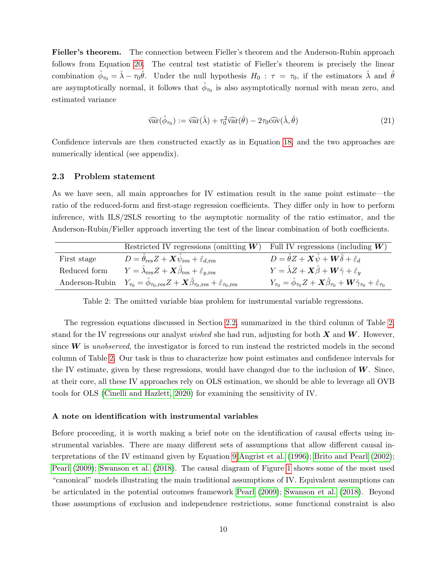Fieller's theorem. The connection between Fieller's theorem and the Anderson-Rubin approach follows from Equation [20.](#page-9-0) The central test statistic of Fieller's theorem is precisely the linear combination  $\hat{\phi}_{\tau_0} = \hat{\lambda} - \tau_0 \hat{\theta}$ . Under the null hypothesis  $H_0 : \tau = \tau_0$ , if the estimators  $\hat{\lambda}$  and  $\hat{\theta}$ are asymptotically normal, it follows that  $\hat{\phi}_{\tau_0}$  is also asymptotically normal with mean zero, and estimated variance

$$
\widehat{\text{var}}(\hat{\phi}_{\tau_0}) := \widehat{\text{var}}(\hat{\lambda}) + \tau_0^2 \widehat{\text{var}}(\hat{\theta}) - 2\tau_0 \widehat{\text{cov}}(\hat{\lambda}, \hat{\theta}) \tag{21}
$$

Confidence intervals are then constructed exactly as in Equation [18,](#page-9-1) and the two approaches are numerically identical (see appendix).

#### 2.3 Problem statement

As we have seen, all main approaches for IV estimation result in the same point estimate—the ratio of the reduced-form and first-stage regression coefficients. They differ only in how to perform inference, with ILS/2SLS resorting to the asymptotic normality of the ratio estimator, and the Anderson-Rubin/Fieller approach inverting the test of the linear combination of both coefficients.

<span id="page-10-0"></span>

|              | Restricted IV regressions (omitting $W$ )                                                                                                              | Full IV regressions (including $W$ )                                                                                                   |
|--------------|--------------------------------------------------------------------------------------------------------------------------------------------------------|----------------------------------------------------------------------------------------------------------------------------------------|
| First stage  | $D = \hat{\theta}_{\rm res} Z + \boldsymbol{X} \hat{\psi}_{\rm res} + \hat{\varepsilon}_{d, \rm res} \ .$                                              | $D = \hat{\theta}Z + \mathbf{X}\hat{\psi} + \mathbf{W}\hat{\delta} + \hat{\varepsilon}_d$                                              |
| Reduced form | $Y = \hat{\lambda}_{\text{res}}Z + \mathbf{X}\hat{\beta}_{\text{res}} + \hat{\varepsilon}_{y,\text{res}}$                                              | $Y = \hat{\lambda}Z + \mathbf{X}\hat{\beta} + \mathbf{W}\hat{\gamma} + \hat{\varepsilon}_y$                                            |
|              | Anderson-Rubin $Y_{\tau_0} = \hat{\phi}_{\tau_0, \text{res}} Z + \mathbf{X} \hat{\beta}_{\tau_0, \text{res}} + \hat{\varepsilon}_{\tau_0, \text{res}}$ | $Y_{\tau_0} = \hat{\phi}_{\tau_0} Z + \mathbf{X} \hat{\beta}_{\tau_0} + \mathbf{W} \hat{\gamma}_{\tau_0} + \hat{\varepsilon}_{\tau_0}$ |

Table 2: The omitted variable bias problem for instrumental variable regressions.

The regression equations discussed in Section [2.2,](#page-7-0) summarized in the third column of Table [2,](#page-10-0) stand for the IV regressions our analyst *wished* she had run, adjusting for both  $X$  and  $W$ . However, since  $W$  is unobserved, the investigator is forced to run instead the restricted models in the second column of Table [2.](#page-10-0) Our task is thus to characterize how point estimates and confidence intervals for the IV estimate, given by these regressions, would have changed due to the inclusion of  $W$ . Since, at their core, all these IV approaches rely on OLS estimation, we should be able to leverage all OVB tools for OLS [\(Cinelli and Hazlett, 2020\)](#page-32-9) for examining the sensitivity of IV.

#### A note on identification with instrumental variables

Before proceeding, it is worth making a brief note on the identification of causal effects using instrumental variables. There are many different sets of assumptions that allow different causal interpretations of the IV estimand given by Equation [9](#page-7-1) [Angrist et al.](#page-31-1) [\(1996\)](#page-31-1); [Brito and Pearl](#page-31-13) [\(2002\)](#page-31-13); [Pearl](#page-33-0) [\(2009\)](#page-33-0); [Swanson et al.](#page-34-1) [\(2018\)](#page-34-1). The causal diagram of Figure [1](#page-11-1) shows some of the most used "canonical" models illustrating the main traditional assumptions of IV. Equivalent assumptions can be articulated in the potential outcomes framework [Pearl](#page-33-0) [\(2009\)](#page-33-0); [Swanson et al.](#page-34-1) [\(2018\)](#page-34-1). Beyond those assumptions of exclusion and independence restrictions, some functional constraint is also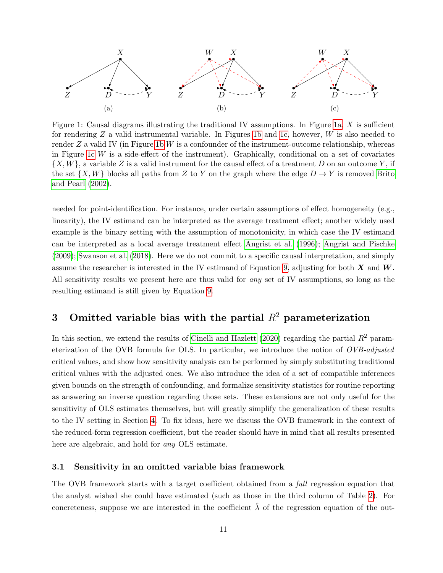<span id="page-11-1"></span>

Figure 1: Causal diagrams illustrating the traditional IV assumptions. In Figure [1a,](#page-11-1)  $X$  is sufficient for rendering  $Z$  a valid instrumental variable. In Figures [1b](#page-11-1) and [1c,](#page-11-1) however,  $W$  is also needed to render  $Z$  a valid IV (in Figure [1b](#page-11-1) W is a confounder of the instrument-outcome relationship, whereas in Figure [1c](#page-11-1)  $W$  is a side-effect of the instrument). Graphically, conditional on a set of covariates  $\{X, W\}$ , a variable Z is a valid instrument for the causal effect of a treatment D on an outcome Y, if the set  $\{X, W\}$  blocks all paths from Z to Y on the graph where the edge  $D \to Y$  is removed [Brito](#page-31-13) [and Pearl](#page-31-13) [\(2002\)](#page-31-13).

needed for point-identification. For instance, under certain assumptions of effect homogeneity (e.g., linearity), the IV estimand can be interpreted as the average treatment effect; another widely used example is the binary setting with the assumption of monotonicity, in which case the IV estimand can be interpreted as a local average treatment effect [Angrist et al.](#page-31-1) [\(1996\)](#page-31-1); [Angrist and Pischke](#page-31-2) [\(2009\)](#page-31-2); [Swanson et al.](#page-34-1) [\(2018\)](#page-34-1). Here we do not commit to a specific causal interpretation, and simply assume the researcher is interested in the IV estimand of Equation [9,](#page-7-1) adjusting for both  $X$  and  $W$ . All sensitivity results we present here are thus valid for any set of IV assumptions, so long as the resulting estimand is still given by Equation [9.](#page-7-1)

# <span id="page-11-0"></span>3 Omitted variable bias with the partial  $R^2$  parameterization

In this section, we extend the results of [Cinelli and Hazlett](#page-32-9) [\(2020\)](#page-32-9) regarding the partial  $R^2$  parameterization of the OVB formula for OLS. In particular, we introduce the notion of OVB-adjusted critical values, and show how sensitivity analysis can be performed by simply substituting traditional critical values with the adjusted ones. We also introduce the idea of a set of compatible inferences given bounds on the strength of confounding, and formalize sensitivity statistics for routine reporting as answering an inverse question regarding those sets. These extensions are not only useful for the sensitivity of OLS estimates themselves, but will greatly simplify the generalization of these results to the IV setting in Section [4.](#page-19-0) To fix ideas, here we discuss the OVB framework in the context of the reduced-form regression coefficient, but the reader should have in mind that all results presented here are algebraic, and hold for any OLS estimate.

### 3.1 Sensitivity in an omitted variable bias framework

The OVB framework starts with a target coefficient obtained from a full regression equation that the analyst wished she could have estimated (such as those in the third column of Table [2\)](#page-10-0). For concreteness, suppose we are interested in the coefficient  $\hat{\lambda}$  of the regression equation of the out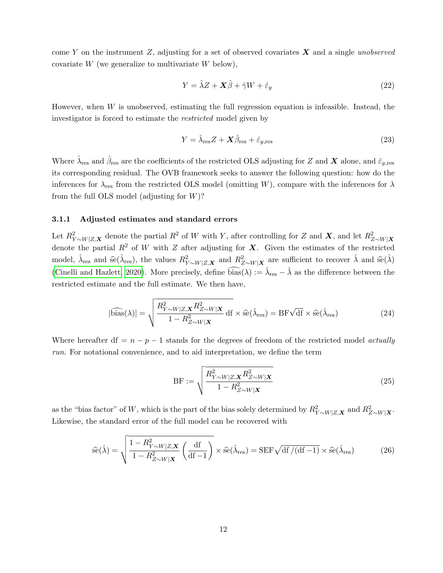come Y on the instrument Z, adjusting for a set of observed covariates  $\boldsymbol{X}$  and a single unobserved covariate  $W$  (we generalize to multivariate  $W$  below),

$$
Y = \hat{\lambda}Z + \mathbf{X}\hat{\beta} + \hat{\gamma}W + \hat{\varepsilon}_y \tag{22}
$$

However, when  $W$  is unobserved, estimating the full regression equation is infeasible. Instead, the investigator is forced to estimate the restricted model given by

$$
Y = \hat{\lambda}_{\text{res}} Z + \mathbf{X} \hat{\beta}_{\text{res}} + \hat{\varepsilon}_{y,\text{res}} \tag{23}
$$

Where  $\hat{\lambda}_\text{res}$  and  $\hat{\beta}_\text{res}$  are the coefficients of the restricted OLS adjusting for Z and X alone, and  $\hat{\varepsilon}_{y,\text{res}}$ its corresponding residual. The OVB framework seeks to answer the following question: how do the inferences for  $\lambda_{\text{res}}$  from the restricted OLS model (omitting W), compare with the inferences for  $\lambda$ from the full OLS model (adjusting for  $W$ )?

#### 3.1.1 Adjusted estimates and standard errors

Let  $R_{Y \sim W|Z,\mathbf{X}}^2$  denote the partial  $R^2$  of W with Y, after controlling for Z and X, and let  $R_{Z \sim W|X}^2$ denote the partial  $R^2$  of W with Z after adjusting for X. Given the estimates of the restricted model,  $\hat{\lambda}_{res}$  and  $\hat{se}(\hat{\lambda}_{res})$ , the values  $R_{Y \sim W|Z,\boldsymbol{X}}^2$  and  $R_{Z \sim W|\boldsymbol{X}}^2$  are sufficient to recover  $\hat{\lambda}$  and  $\hat{se}(\hat{\lambda})$ [\(Cinelli and Hazlett, 2020\)](#page-32-9). More precisely, define  $\widehat{\text{bias}}(\lambda) := \widehat{\lambda}_{\text{res}} - \widehat{\lambda}$  as the difference between the restricted estimate and the full estimate. We then have,

$$
|\widehat{\text{bias}}(\lambda)| = \sqrt{\frac{R_{Y \sim W|Z, \mathbf{X}}^2 R_{Z \sim W|X}^2}{1 - R_{Z \sim W|X}^2}} \, df \times \widehat{\text{se}}(\widehat{\lambda}_{\text{res}}) = BF\sqrt{df} \times \widehat{\text{se}}(\widehat{\lambda}_{\text{res}})
$$
(24)

Where hereafter df =  $n - p - 1$  stands for the degrees of freedom of the restricted model *actually* run. For notational convenience, and to aid interpretation, we define the term

<span id="page-12-1"></span><span id="page-12-0"></span>
$$
BF := \sqrt{\frac{R_{Y \sim W|Z, \mathbf{X}}^2 R_{Z \sim W| \mathbf{X}}^2}{1 - R_{Z \sim W| \mathbf{X}}^2}} \tag{25}
$$

as the "bias factor" of W, which is the part of the bias solely determined by  $R_{Y \sim W|Z,\mathbf{X}}^2$  and  $R_{Z \sim W|\mathbf{X}}^2$ . Likewise, the standard error of the full model can be recovered with

$$
\widehat{\rm se}(\widehat{\lambda}) = \sqrt{\frac{1 - R_{Y \sim W|Z, \mathbf{X}}^2}{1 - R_{Z \sim W|X}^2}} \left(\frac{\mathrm{d}f}{\mathrm{d}f - 1}\right) \times \widehat{\rm se}(\widehat{\lambda}_{\rm res}) = \mathrm{SEF} \sqrt{\mathrm{d}f/(df - 1)} \times \widehat{\rm se}(\widehat{\lambda}_{\rm res})
$$
(26)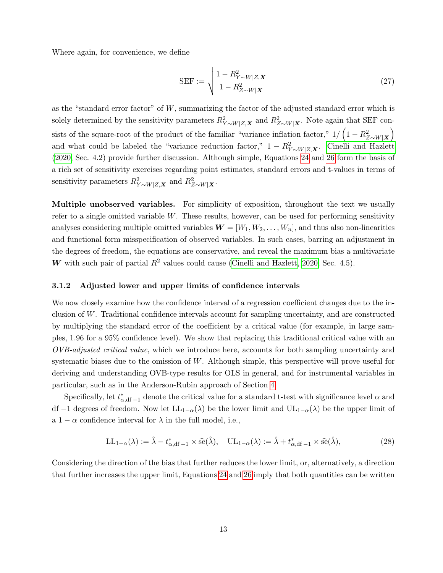Where again, for convenience, we define

$$
SEF := \sqrt{\frac{1 - R_{Y \sim W|Z, \mathbf{X}}^2}{1 - R_{Z \sim W|X}^2}} \tag{27}
$$

as the "standard error factor" of W, summarizing the factor of the adjusted standard error which is solely determined by the sensitivity parameters  $R_{Y \sim W|Z,\mathbf{X}}^2$  and  $R_{Z \sim W|\mathbf{X}}^2$ . Note again that SEF consists of the square-root of the product of the familiar "variance inflation factor,"  $1/\left(1 - R_{Z\sim W|\bm{X}}^2\right)$ and what could be labeled the "variance reduction factor,"  $1 - R_{Y \sim W|Z,\mathbf{X}}^2$ . [Cinelli and Hazlett](#page-32-9) [\(2020,](#page-32-9) Sec. 4.2) provide further discussion. Although simple, Equations [24](#page-12-0) and [26](#page-12-1) form the basis of a rich set of sensitivity exercises regarding point estimates, standard errors and t-values in terms of sensitivity parameters  $R_{Y \sim W|Z,\mathbf{X}}^2$  and  $R_{Z \sim W|\mathbf{X}}^2$ .

Multiple unobserved variables. For simplicity of exposition, throughout the text we usually refer to a single omitted variable W. These results, however, can be used for performing sensitivity analyses considering multiple omitted variables  $\mathbf{W} = [W_1, W_2, \dots, W_n]$ , and thus also non-linearities and functional form misspecification of observed variables. In such cases, barring an adjustment in the degrees of freedom, the equations are conservative, and reveal the maximum bias a multivariate W with such pair of partial  $R^2$  values could cause [\(Cinelli and Hazlett, 2020,](#page-32-9) Sec. 4.5).

#### 3.1.2 Adjusted lower and upper limits of confidence intervals

We now closely examine how the confidence interval of a regression coefficient changes due to the inclusion of W. Traditional confidence intervals account for sampling uncertainty, and are constructed by multiplying the standard error of the coefficient by a critical value (for example, in large samples, 1.96 for a 95% confidence level). We show that replacing this traditional critical value with an OVB-adjusted critical value, which we introduce here, accounts for both sampling uncertainty and systematic biases due to the omission of  $W$ . Although simple, this perspective will prove useful for deriving and understanding OVB-type results for OLS in general, and for instrumental variables in particular, such as in the Anderson-Rubin approach of Section [4.](#page-19-0)

Specifically, let  $t_{\alpha, df-1}^*$  denote the critical value for a standard t-test with significance level  $\alpha$  and df −1 degrees of freedom. Now let  $LL_{1-\alpha}(\lambda)$  be the lower limit and  $UL_{1-\alpha}(\lambda)$  be the upper limit of a  $1 - \alpha$  confidence interval for  $\lambda$  in the full model, i.e.,

$$
LL_{1-\alpha}(\lambda) := \hat{\lambda} - t_{\alpha, df-1}^* \times \hat{se}(\hat{\lambda}), \quad UL_{1-\alpha}(\lambda) := \hat{\lambda} + t_{\alpha, df-1}^* \times \hat{se}(\hat{\lambda}), \tag{28}
$$

Considering the direction of the bias that further reduces the lower limit, or, alternatively, a direction that further increases the upper limit, Equations [24](#page-12-0) and [26](#page-12-1) imply that both quantities can be written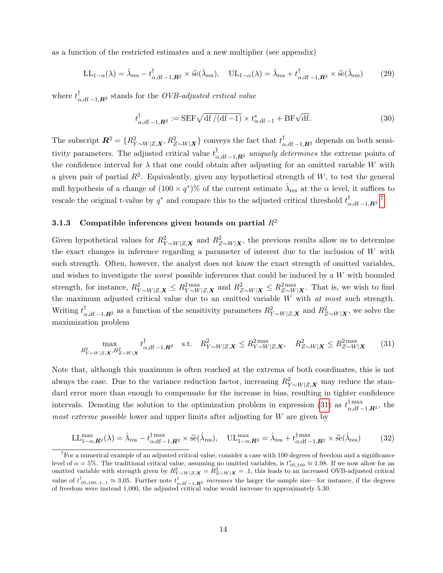as a function of the restricted estimates and a new multiplier (see appendix)

$$
LL_{1-\alpha}(\lambda) = \hat{\lambda}_{\text{res}} - t_{\alpha, \text{df}-1, \mathbf{R}^2}^{\dagger} \times \hat{\text{se}}(\hat{\lambda}_{\text{res}}), \quad UL_{1-\alpha}(\lambda) = \hat{\lambda}_{\text{res}} + t_{\alpha, \text{df}-1, \mathbf{R}^2}^{\dagger} \times \hat{\text{se}}(\hat{\lambda}_{\text{res}})
$$
(29)

where  $t_{\alpha, df-1, R^2}^{\dagger}$  stands for the *OVB-adjusted critical value* 

$$
t_{\alpha, df-1, \mathbf{R}^2}^{\dagger} := \text{SEF}\sqrt{\text{df}/(\text{df}-1)} \times t_{\alpha, df-1}^* + \text{BF}\sqrt{\text{df}}.
$$
\n(30)

The subscript  $\mathbf{R}^2 = \{R_{Y \sim W|Z,\mathbf{X}}^2, R_{Z \sim W|\mathbf{X}}^2\}$  conveys the fact that  $t_{\alpha, \text{df}-1,\mathbf{R}^2}^{\dagger}$  depends on both sensitivity parameters. The adjusted critical value  $t_{\alpha, df-1, R^2}^{\dagger}$  uniquely determines the extreme points of the confidence interval for  $\lambda$  that one could obtain after adjusting for an omitted variable W with a given pair of partial  $R^2$ . Equivalently, given any hypothetical strength of W, to test the general null hypothesis of a change of  $(100 \times q^*)\%$  of the current estimate  $\hat{\lambda}_{\text{res}}$  at the  $\alpha$  level, it suffices to rescale the original t-value by  $q^*$  and compare this to the adjusted critical threshold  $t_c^{\dagger}$  $_{\alpha, {\rm df}\,-1,\boldsymbol{R}^2}^{\dagger}.^7$  $_{\alpha, {\rm df}\,-1,\boldsymbol{R}^2}^{\dagger}.^7$ 

### 3.1.3 Compatible inferences given bounds on partial  $R^2$

Given hypothetical values for  $R_{Y \sim W|Z,\mathbf{X}}^2$  and  $R_{Z \sim W|\mathbf{X}}^2$ , the previous results allow us to determine the exact changes in inference regarding a parameter of interest due to the inclusion of W with such strength. Often, however, the analyst does not know the exact strength of omitted variables, and wishes to investigate the *worst* possible inferences that could be induced by a  $W$  with bounded strength, for instance,  $R_{Y \sim W|Z,\mathbf{X}}^2 \leq R_{Y \sim W|Z,\mathbf{X}}^{2 \max}$  and  $R_{Z \sim W|\mathbf{X}}^2 \leq R_{Z \sim W|\mathbf{X}}^{2 \max}$ . That is, we wish to find the maximum adjusted critical value due to an omitted variable  $W$  with  $at most such strength$ . Writing  $t_{\alpha,\text{df}-1,\mathbf{R}^2}^{\dagger}$  as a function of the sensitivity parameters  $R_{Y\sim W|Z,\mathbf{X}}^2$  and  $R_{Z\sim W|\mathbf{X}}^2$ , we solve the maximization problem

<span id="page-14-0"></span>
$$
\max_{R_{Y \sim W|Z,\mathbf{X}}^2, R_{Z \sim W|\mathbf{X}}^2} t_{\alpha, \mathrm{df}-1, \mathbf{R}^2}^{\dagger} \quad \text{s.t.} \quad R_{Y \sim W|Z,\mathbf{X}}^2 \le R_{Y \sim W|Z,\mathbf{X}}^{2\max}, \quad R_{Z \sim W|\mathbf{X}}^2 \le R_{Z \sim W|\mathbf{X}}^{2\max} \tag{31}
$$

Note that, although this maximum is often reached at the extrema of both coordinates, this is not always the case. Due to the variance reduction factor, increasing  $R_{Y \sim W|Z,\mathbf{X}}^2$  may reduce the standard error more than enough to compensate for the increase in bias, resulting in tighter confidence intervals. Denoting the solution to the optimization problem in expression [\(31\)](#page-14-0) as  $t_{\alpha d}^{\dagger \max}$  $\frac{1}{\alpha}$ ,df –1, $\mathbb{R}^2$ , the most extreme possible lower and upper limits after adjusting for W are given by

$$
LL_{1-\alpha,\mathbf{R}^2}^{\max}(\lambda) = \hat{\lambda}_{\text{res}} - t_{\alpha,\text{df}-1,\mathbf{R}^2}^{\max} \times \hat{\text{se}}(\hat{\lambda}_{\text{res}}), \quad UL_{1-\alpha,\mathbf{R}^2}^{\max} = \hat{\lambda}_{\text{res}} + t_{\alpha,\text{df}-1,\mathbf{R}^2}^{\max} \times \hat{\text{se}}(\hat{\lambda}_{\text{res}})
$$
(32)

 $^7$  For a numerical example of an adjusted critical value, consider a case with 100 degrees of freedom and a significance level of  $\alpha = 5\%$ . The traditional critical value, assuming no omitted variables, is  $t_{.05,100}^* \approx 1.98$ . If we now allow for an omitted variable with strength given by  $R_{Y \sim W|Z,\mathbf{X}}^2 = R_{Z \sim W|\mathbf{X}}^2 = .1$ , this leads to an increased OVB-adjusted critical value of  $t_{.05,100,1,1}^{\dagger} \approx 3.05$ . Further note  $t_{\alpha, \text{df}-1,\mathbf{R}^2}^{\dagger}$  increases the larger the sample size—for instance, if the degrees of freedom were instead 1,000, the adjusted critical value would increase to approximately 5.30.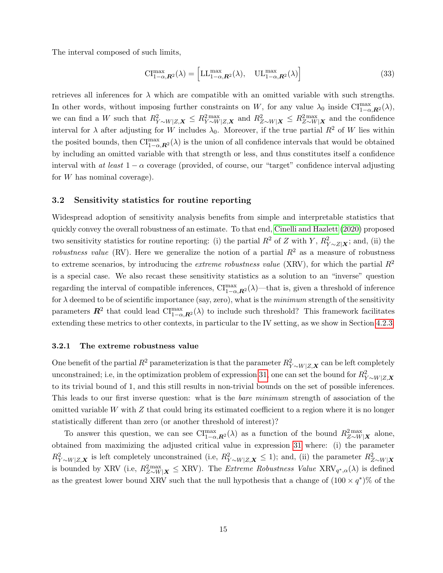The interval composed of such limits,

$$
\mathrm{CI}_{1-\alpha,\boldsymbol{R}^2}^{\max}(\lambda) = \left[ \mathrm{LL}_{1-\alpha,\boldsymbol{R}^2}^{\max}(\lambda), \quad \mathrm{UL}_{1-\alpha,\boldsymbol{R}^2}^{\max}(\lambda) \right] \tag{33}
$$

retrieves all inferences for  $\lambda$  which are compatible with an omitted variable with such strengths. In other words, without imposing further constraints on W, for any value  $\lambda_0$  inside CI $_{1-\alpha,\mathbf{R}^2}^{\text{max}}(\lambda)$ , we can find a W such that  $R_{Y \sim W|Z,\mathbf{X}}^2 \leq R_{Y \sim W|Z,\mathbf{X}}^{2 \max}$  and  $R_{Z \sim W|\mathbf{X}}^2 \leq R_{Z \sim W|\mathbf{X}}^{2 \max}$  and the confidence interval for  $\lambda$  after adjusting for W includes  $\lambda_0$ . Moreover, if the true partial  $R^2$  of W lies within the posited bounds, then  $\text{CI}^{\max}_{1-\alpha,\mathbf{R}^2}(\lambda)$  is the union of all confidence intervals that would be obtained by including an omitted variable with that strength or less, and thus constitutes itself a confidence interval with at least  $1 - \alpha$  coverage (provided, of course, our "target" confidence interval adjusting for W has nominal coverage).

#### 3.2 Sensitivity statistics for routine reporting

Widespread adoption of sensitivity analysis benefits from simple and interpretable statistics that quickly convey the overall robustness of an estimate. To that end, [Cinelli and Hazlett](#page-32-9) [\(2020\)](#page-32-9) proposed two sensitivity statistics for routine reporting: (i) the partial  $R^2$  of Z with Y,  $R_{Y\sim Z|\mathbf{X}}^2$ ; and, (ii) the robustness value (RV). Here we generalize the notion of a partial  $R^2$  as a measure of robustness to extreme scenarios, by introducing the *extreme robustness value* (XRV), for which the partial  $R^2$ is a special case. We also recast these sensitivity statistics as a solution to an "inverse" question regarding the interval of compatible inferences,  $\text{CI}^{\text{max}}_{1-\alpha,\textbf{R}^2}(\lambda)$ —that is, given a threshold of inference for  $\lambda$  deemed to be of scientific importance (say, zero), what is the *minimum* strength of the sensitivity parameters  $\mathbb{R}^2$  that could lead  $\text{CI}^{\max}_{1-\alpha,\mathbb{R}^2}(\lambda)$  to include such threshold? This framework facilitates extending these metrics to other contexts, in particular to the IV setting, as we show in Section [4.2.3.](#page-24-0)

#### 3.2.1 The extreme robustness value

One benefit of the partial  $R^2$  parameterization is that the parameter  $R_{Y \sim W|Z,\mathbf{X}}^2$  can be left completely unconstrained; i.e, in the optimization problem of expression [31,](#page-14-0) one can set the bound for  $R_{Y \sim W|Z,\mathbf{X}}^2$ to its trivial bound of 1, and this still results in non-trivial bounds on the set of possible inferences. This leads to our first inverse question: what is the bare minimum strength of association of the omitted variable W with  $Z$  that could bring its estimated coefficient to a region where it is no longer statistically different than zero (or another threshold of interest)?

To answer this question, we can see  $\text{CI}^{\text{max}}_{1-\alpha,\mathbf{R}^2}(\lambda)$  as a function of the bound  $R^{2\text{max}}_{Z\sim W|\mathbf{X}|}$  alone, obtained from maximizing the adjusted critical value in expression [31](#page-14-0) where: (i) the parameter  $R_{Y \sim W|Z,\mathbf{X}}^2$  is left completely unconstrained (i.e,  $R_{Y \sim W|Z,\mathbf{X}}^2 \le 1$ ); and, (ii) the parameter  $R_{Z \sim W|\mathbf{X}}^2$ is bounded by XRV (i.e,  $R_{Z\sim W|X}^{2\max}\leq XRV$ ). The *Extreme Robustness Value*  $XRV_{q^*,\alpha}(\lambda)$  is defined as the greatest lower bound XRV such that the null hypothesis that a change of  $(100 \times q^*)\%$  of the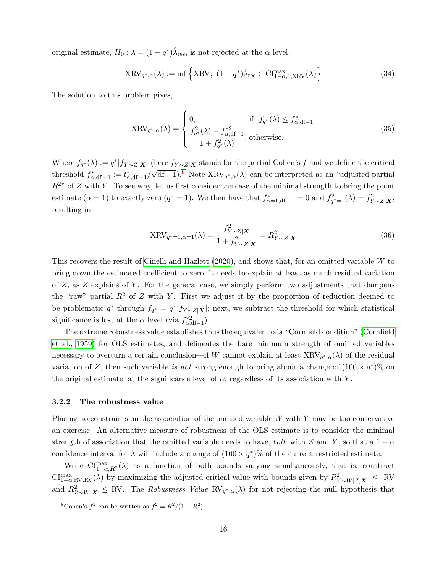original estimate,  $H_0: \lambda = (1 - q^*)\hat{\lambda}_{\text{res}}$ , is not rejected at the  $\alpha$  level,

$$
XRV_{q^*,\alpha}(\lambda) := \inf \left\{ XRV; \ (1 - q^*) \hat{\lambda}_{\text{res}} \in \text{CI}_{1-\alpha,1,XRV}^{\text{max}}(\lambda) \right\}
$$
(34)

The solution to this problem gives,

$$
XRV_{q^*,\alpha}(\lambda) = \begin{cases} 0, & \text{if } f_{q^*}(\lambda) \le f^*_{\alpha,\text{df}-1} \\ \frac{f_{q^*}^2(\lambda) - f^*_{\alpha,\text{df}-1}}{1 + f_{q^*}^2(\lambda)}, & \text{otherwise.} \end{cases} \tag{35}
$$

Where  $f_{q^*}(\lambda) := q^* |f_{Y \sim Z|\mathbf{X}}|$  (here  $f_{Y \sim Z|\mathbf{X}}$  stands for the partial Cohen's f and we define the critical threshold  $f_{\alpha,\text{df-1}}^* := t_{\alpha,\text{df-1}}^* /$  $\sqrt{df-1}$ .<sup>[8](#page-0-0)</sup> Note  $XRV_{q^*,\alpha}(\lambda)$  can be interpreted as an "adjusted partial"  $R^{2n}$  of Z with Y. To see why, let us first consider the case of the minimal strength to bring the point estimate  $(\alpha = 1)$  to exactly zero  $(q^* = 1)$ . We then have that  $f^*_{\alpha=1, df-1} = 0$  and  $f^2_{q^* = 1}(\lambda) = f^2_{Y \sim Z|\mathbf{X}}$ , resulting in

$$
XRV_{q^*=1,\alpha=1}(\lambda) = \frac{f_{Y\sim Z|X}^2}{1 + f_{Y\sim Z|X}^2} = R_{Y\sim Z|X}^2
$$
\n(36)

This recovers the result of [Cinelli and Hazlett](#page-32-9) [\(2020\)](#page-32-9), and shows that, for an omitted variable W to bring down the estimated coefficient to zero, it needs to explain at least as much residual variation of  $Z$ , as  $Z$  explains of  $Y$ . For the general case, we simply perform two adjustments that dampens the "raw" partial  $R^2$  of Z with Y. First we adjust it by the proportion of reduction deemed to be problematic  $q^*$  through  $f_{q^*} = q^* | f_{Y \sim Z | \mathbf{X}} |$ ; next, we subtract the threshold for which statistical significance is lost at the  $\alpha$  level (via  $f_{\alpha, df-1}^{*2}$ ).

The extreme robustness value establishes thus the equivalent of a "Cornfield condition" [\(Cornfield](#page-32-15) [et al., 1959\)](#page-32-15) for OLS estimates, and delineates the bare minimum strength of omitted variables necessary to overturn a certain conclusion—if W cannot explain at least  $XRV_{q^*,\alpha}(\lambda)$  of the residual variation of Z, then such variable is not strong enough to bring about a change of  $(100 \times q^*)\%$  on the original estimate, at the significance level of  $\alpha$ , regardless of its association with Y.

#### 3.2.2 The robustness value

Placing no constraints on the association of the omitted variable  $W$  with  $Y$  may be too conservative an exercise. An alternative measure of robustness of the OLS estimate is to consider the minimal strength of association that the omitted variable needs to have, both with Z and Y, so that a  $1 - \alpha$ confidence interval for  $\lambda$  will include a change of  $(100 \times q^*)\%$  of the current restricted estimate.

Write  $\text{CI}^{\text{max}}_{1-\alpha,\text{R}^2}(\lambda)$  as a function of both bounds varying simultaneously, that is, construct  $\text{CI}_{1-\alpha,\text{RV},\text{RV}}^{\text{max}}(\lambda)$  by maximizing the adjusted critical value with bounds given by  $R_{Y\sim W|Z,\textbf{X}}^2 \leq \text{RV}$ and  $R^2_{Z\sim W|\mathbf{X}} \leq \text{RV}$ . The *Robustness Value*  $\text{RV}_{q^*,\alpha}(\lambda)$  for not rejecting the null hypothesis that

<sup>&</sup>lt;sup>8</sup>Cohen's  $f^2$  can be written as  $f^2 = R^2/(1 - R^2)$ .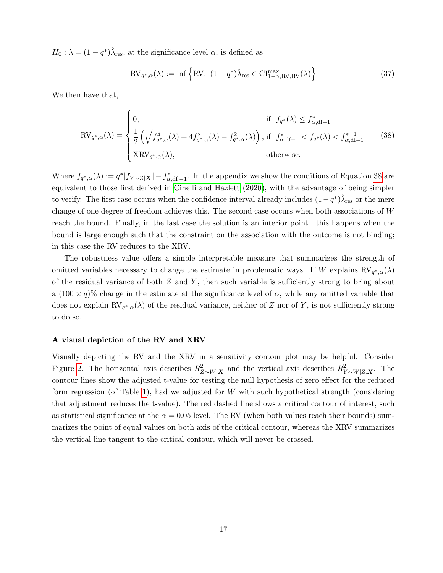$H_0: \lambda = (1 - q^*)\hat{\lambda}_{\text{res}}$ , at the significance level  $\alpha$ , is defined as

<span id="page-17-0"></span>
$$
RV_{q^*,\alpha}(\lambda) := \inf \left\{ RV; (1 - q^*) \hat{\lambda}_{res} \in CI_{1-\alpha,RV,RV}^{\max}(\lambda) \right\}
$$
 (37)

We then have that,

$$
RV_{q^*,\alpha}(\lambda) = \begin{cases} 0, & \text{if } f_{q^*}(\lambda) \le f^*_{\alpha,df-1} \\ \frac{1}{2} \left( \sqrt{f^4_{q^*,\alpha}(\lambda) + 4f^2_{q^*,\alpha}(\lambda)} - f^2_{q^*,\alpha}(\lambda) \right), & \text{if } f^*_{\alpha,df-1} < f_{q^*}(\lambda) < f^{*-1}_{\alpha,df-1} \\ \text{XRV}_{q^*,\alpha}(\lambda), & \text{otherwise.} \end{cases} \tag{38}
$$

Where  $f_{q^*,\alpha}(\lambda) := q^* |f_{Y\sim Z|\mathbf{X}}| - f_{\alpha,\text{df}-1}^*$ . In the appendix we show the conditions of Equation [38](#page-17-0) are equivalent to those first derived in [Cinelli and Hazlett](#page-32-9) [\(2020\)](#page-32-9), with the advantage of being simpler to verify. The first case occurs when the confidence interval already includes  $(1-q^*)\hat{\lambda}_\text{res}$  or the mere change of one degree of freedom achieves this. The second case occurs when both associations of W reach the bound. Finally, in the last case the solution is an interior point—this happens when the bound is large enough such that the constraint on the association with the outcome is not binding; in this case the RV reduces to the XRV.

The robustness value offers a simple interpretable measure that summarizes the strength of omitted variables necessary to change the estimate in problematic ways. If W explains  $RV_{q^*,\alpha}(\lambda)$ of the residual variance of both  $Z$  and  $Y$ , then such variable is sufficiently strong to bring about a  $(100 \times q)$ % change in the estimate at the significance level of  $\alpha$ , while any omitted variable that does not explain  $RV_{q^*,\alpha}(\lambda)$  of the residual variance, neither of Z nor of Y, is not sufficiently strong to do so.

#### A visual depiction of the RV and XRV

Visually depicting the RV and the XRV in a sensitivity contour plot may be helpful. Consider Figure [2.](#page-18-0) The horizontal axis describes  $R_{Z \sim W|X}^2$  and the vertical axis describes  $R_{Y \sim W|Z,X}^2$ . The contour lines show the adjusted t-value for testing the null hypothesis of zero effect for the reduced form regression (of Table [1\)](#page-5-0), had we adjusted for  $W$  with such hypothetical strength (considering that adjustment reduces the t-value). The red dashed line shows a critical contour of interest, such as statistical significance at the  $\alpha = 0.05$  level. The RV (when both values reach their bounds) summarizes the point of equal values on both axis of the critical contour, whereas the XRV summarizes the vertical line tangent to the critical contour, which will never be crossed.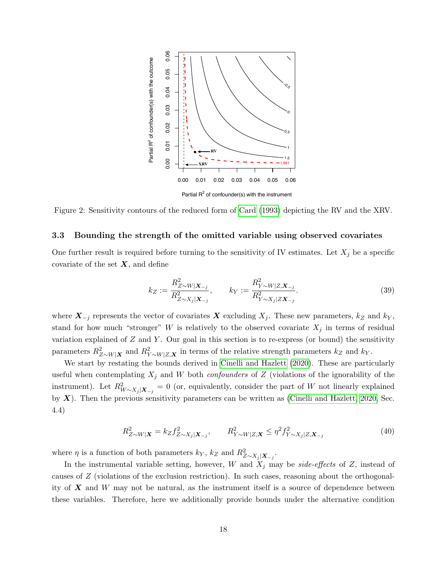<span id="page-18-0"></span>

Figure 2: Sensitivity contours of the reduced form of [Card](#page-32-12) [\(1993\)](#page-32-12) depicting the RV and the XRV.

#### <span id="page-18-1"></span>3.3 Bounding the strength of the omitted variable using observed covariates

One further result is required before turning to the sensitivity of IV estimates. Let  $X_j$  be a specific covariate of the set  $X$ , and define

$$
k_Z := \frac{R_{Z \sim W|\mathbf{X}_{-j}}^2}{R_{Z \sim X_j|\mathbf{X}_{-j}}^2}, \qquad k_Y := \frac{R_{Y \sim W|Z,\mathbf{X}_{-j}}^2}{R_{Y \sim X_j|Z\mathbf{X}_{-j}}^2}.
$$
(39)

where  $X_{-j}$  represents the vector of covariates X excluding  $X_j$ . These new parameters,  $k_Z$  and  $k_Y$ , stand for how much "stronger" W is relatively to the observed covariate  $X_j$  in terms of residual variation explained of  $Z$  and  $Y$ . Our goal in this section is to re-express (or bound) the sensitivity parameters  $R_{Z\sim W|X}^2$  and  $R_{Y\sim W|Z,X}^2$  in terms of the relative strength parameters  $k_Z$  and  $k_Y$ .

We start by restating the bounds derived in [Cinelli and Hazlett](#page-32-9) [\(2020\)](#page-32-9). These are particularly useful when contemplating  $X_j$  and W both *confounders* of Z (violations of the ignorability of the instrument). Let  $R_{W\sim X_j|X_{-j}}^2=0$  (or, equivalently, consider the part of W not linearly explained by  $X$ ). Then the previous sensitivity parameters can be written as [\(Cinelli and Hazlett, 2020,](#page-32-9) Sec. 4.4)

$$
R_{Z \sim W|\mathbf{X}}^2 = k_Z f_{Z \sim X_j|\mathbf{X}_{-j}}^2, \qquad R_{Y \sim W|Z,\mathbf{X}}^2 \le \eta^2 f_{Y \sim X_j|Z,\mathbf{X}_{-j}}^2 \tag{40}
$$

where  $\eta$  is a function of both parameters  $k_Y$ ,  $k_Z$  and  $R_{Z \sim X_j | \mathbf{X}_{-j}}^2$ .

In the instrumental variable setting, however, W and  $X_j$  may be side-effects of Z, instead of causes of Z (violations of the exclusion restriction). In such cases, reasoning about the orthogonality of  $\boldsymbol{X}$  and W may not be natural, as the instrument itself is a source of dependence between these variables. Therefore, here we additionally provide bounds under the alternative condition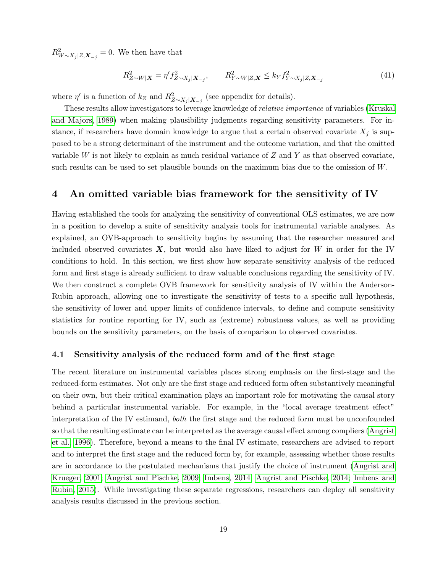$R_{W \sim X_j | Z, \mathbf{X}_{-j}}^2 = 0$ . We then have that

$$
R_{Z \sim W|\mathbf{X}}^2 = \eta' f_{Z \sim X_j|\mathbf{X}_{-j}}^2, \qquad R_{Y \sim W|Z, \mathbf{X}}^2 \le k_Y f_{Y \sim X_j|Z, \mathbf{X}_{-j}}^2 \tag{41}
$$

where  $\eta'$  is a function of  $k_Z$  and  $R_{Z \sim X_j | \mathbf{X}_{-j}}^2$  (see appendix for details).

These results allow investigators to leverage knowledge of relative importance of variables [\(Kruskal](#page-33-14) [and Majors, 1989\)](#page-33-14) when making plausibility judgments regarding sensitivity parameters. For instance, if researchers have domain knowledge to argue that a certain observed covariate  $X_i$  is supposed to be a strong determinant of the instrument and the outcome variation, and that the omitted variable W is not likely to explain as much residual variance of  $Z$  and  $Y$  as that observed covariate, such results can be used to set plausible bounds on the maximum bias due to the omission of W.

### <span id="page-19-0"></span>4 An omitted variable bias framework for the sensitivity of IV

Having established the tools for analyzing the sensitivity of conventional OLS estimates, we are now in a position to develop a suite of sensitivity analysis tools for instrumental variable analyses. As explained, an OVB-approach to sensitivity begins by assuming that the researcher measured and included observed covariates  $\boldsymbol{X}$ , but would also have liked to adjust for W in order for the IV conditions to hold. In this section, we first show how separate sensitivity analysis of the reduced form and first stage is already sufficient to draw valuable conclusions regarding the sensitivity of IV. We then construct a complete OVB framework for sensitivity analysis of IV within the Anderson-Rubin approach, allowing one to investigate the sensitivity of tests to a specific null hypothesis, the sensitivity of lower and upper limits of confidence intervals, to define and compute sensitivity statistics for routine reporting for IV, such as (extreme) robustness values, as well as providing bounds on the sensitivity parameters, on the basis of comparison to observed covariates.

### 4.1 Sensitivity analysis of the reduced form and of the first stage

The recent literature on instrumental variables places strong emphasis on the first-stage and the reduced-form estimates. Not only are the first stage and reduced form often substantively meaningful on their own, but their critical examination plays an important role for motivating the causal story behind a particular instrumental variable. For example, in the "local average treatment effect" interpretation of the IV estimand, both the first stage and the reduced form must be unconfounded so that the resulting estimate can be interpreted as the average causal effect among compliers [\(Angrist](#page-31-1) [et al., 1996\)](#page-31-1). Therefore, beyond a means to the final IV estimate, researchers are advised to report and to interpret the first stage and the reduced form by, for example, assessing whether those results are in accordance to the postulated mechanisms that justify the choice of instrument [\(Angrist and](#page-31-9) [Krueger, 2001;](#page-31-9) [Angrist and Pischke, 2009;](#page-31-2) [Imbens, 2014;](#page-33-4) [Angrist and Pischke, 2014;](#page-31-10) [Imbens and](#page-33-1) [Rubin, 2015\)](#page-33-1). While investigating these separate regressions, researchers can deploy all sensitivity analysis results discussed in the previous section.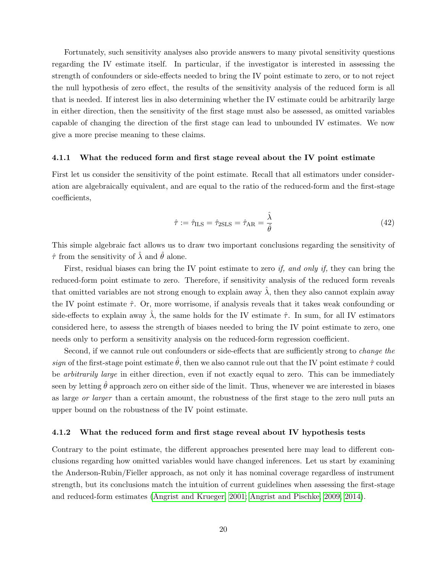Fortunately, such sensitivity analyses also provide answers to many pivotal sensitivity questions regarding the IV estimate itself. In particular, if the investigator is interested in assessing the strength of confounders or side-effects needed to bring the IV point estimate to zero, or to not reject the null hypothesis of zero effect, the results of the sensitivity analysis of the reduced form is all that is needed. If interest lies in also determining whether the IV estimate could be arbitrarily large in either direction, then the sensitivity of the first stage must also be assessed, as omitted variables capable of changing the direction of the first stage can lead to unbounded IV estimates. We now give a more precise meaning to these claims.

#### 4.1.1 What the reduced form and first stage reveal about the IV point estimate

First let us consider the sensitivity of the point estimate. Recall that all estimators under consideration are algebraically equivalent, and are equal to the ratio of the reduced-form and the first-stage coefficients,

$$
\hat{\tau} := \hat{\tau}_{\text{ILS}} = \hat{\tau}_{\text{2SLS}} = \hat{\tau}_{\text{AR}} = \frac{\hat{\lambda}}{\hat{\theta}} \tag{42}
$$

This simple algebraic fact allows us to draw two important conclusions regarding the sensitivity of  $\hat{\tau}$  from the sensitivity of  $\hat{\lambda}$  and  $\hat{\theta}$  alone.

First, residual biases can bring the IV point estimate to zero *if, and only if,* they can bring the reduced-form point estimate to zero. Therefore, if sensitivity analysis of the reduced form reveals that omitted variables are not strong enough to explain away  $\hat{\lambda}$ , then they also cannot explain away the IV point estimate  $\hat{\tau}$ . Or, more worrisome, if analysis reveals that it takes weak confounding or side-effects to explain away  $\hat{\lambda}$ , the same holds for the IV estimate  $\hat{\tau}$ . In sum, for all IV estimators considered here, to assess the strength of biases needed to bring the IV point estimate to zero, one needs only to perform a sensitivity analysis on the reduced-form regression coefficient.

Second, if we cannot rule out confounders or side-effects that are sufficiently strong to change the sign of the first-stage point estimate  $\theta$ , then we also cannot rule out that the IV point estimate  $\hat{\tau}$  could be *arbitrarily large* in either direction, even if not exactly equal to zero. This can be immediately seen by letting  $\hat{\theta}$  approach zero on either side of the limit. Thus, whenever we are interested in biases as large or larger than a certain amount, the robustness of the first stage to the zero null puts an upper bound on the robustness of the IV point estimate.

#### 4.1.2 What the reduced form and first stage reveal about IV hypothesis tests

Contrary to the point estimate, the different approaches presented here may lead to different conclusions regarding how omitted variables would have changed inferences. Let us start by examining the Anderson-Rubin/Fieller approach, as not only it has nominal coverage regardless of instrument strength, but its conclusions match the intuition of current guidelines when assessing the first-stage and reduced-form estimates [\(Angrist and Krueger, 2001;](#page-31-9) [Angrist and Pischke, 2009,](#page-31-2) [2014\)](#page-31-10).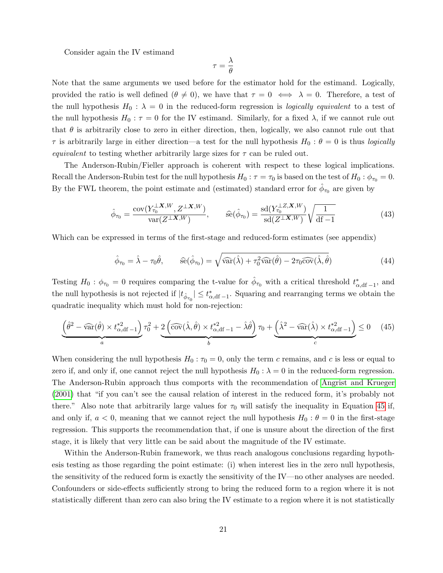Consider again the IV estimand

$$
\tau = \frac{\lambda}{\theta}
$$

Note that the same arguments we used before for the estimator hold for the estimand. Logically, provided the ratio is well defined  $(\theta \neq 0)$ , we have that  $\tau = 0 \iff \lambda = 0$ . Therefore, a test of the null hypothesis  $H_0$ :  $\lambda = 0$  in the reduced-form regression is *logically equivalent* to a test of the null hypothesis  $H_0: \tau = 0$  for the IV estimand. Similarly, for a fixed  $\lambda$ , if we cannot rule out that  $\theta$  is arbitrarily close to zero in either direction, then, logically, we also cannot rule out that  $\tau$  is arbitrarily large in either direction—a test for the null hypothesis  $H_0: \theta = 0$  is thus *logically* equivalent to testing whether arbitrarily large sizes for  $\tau$  can be ruled out.

The Anderson-Rubin/Fieller approach is coherent with respect to these logical implications. Recall the Anderson-Rubin test for the null hypothesis  $H_0 : \tau = \tau_0$  is based on the test of  $H_0 : \phi_{\tau_0} = 0$ . By the FWL theorem, the point estimate and (estimated) standard error for  $\hat{\phi}_{\tau_0}$  are given by

$$
\hat{\phi}_{\tau_0} = \frac{\text{cov}(Y_{\tau_0}^{\perp} \mathbf{X}, W, Z^{\perp} \mathbf{X}, W)}{\text{var}(Z^{\perp} \mathbf{X}, W)}, \qquad \hat{\text{se}}(\hat{\phi}_{\tau_0}) = \frac{\text{sd}(Y_{\tau_0}^{\perp} \mathbf{Z}, \mathbf{X}, W)}{\text{sd}(Z^{\perp} \mathbf{X}, W)} \sqrt{\frac{1}{\text{df}-1}}
$$
(43)

Which can be expressed in terms of the first-stage and reduced-form estimates (see appendix)

<span id="page-21-0"></span>
$$
\hat{\phi}_{\tau_0} = \hat{\lambda} - \tau_0 \hat{\theta}, \qquad \hat{\text{se}}(\hat{\phi}_{\tau_0}) = \sqrt{\hat{\text{var}}(\hat{\lambda}) + \tau_0^2 \hat{\text{var}}(\hat{\theta}) - 2\tau_0 \hat{\text{cov}}(\hat{\lambda}, \hat{\theta})}
$$
(44)

Testing  $H_0: \phi_{\tau_0} = 0$  requires comparing the t-value for  $\hat{\phi}_{\tau_0}$  with a critical threshold  $t^*_{\alpha, df-1}$ , and the null hypothesis is not rejected if  $|t_{\hat{\phi}_{\tau_0}}| \leq t_{\alpha, df-1}^*$ . Squaring and rearranging terms we obtain the quadratic inequality which must hold for non-rejection:

$$
\underbrace{\left(\hat{\theta}^2 - \widehat{\text{var}}(\hat{\theta}) \times t_{\alpha, \text{df}}^{*2} - 1\right)}_{a} \tau_0^2 + \underbrace{2\left(\widehat{\text{cov}}(\hat{\lambda}, \hat{\theta}) \times t_{\alpha, \text{df}}^{*2} - 1 - \hat{\lambda}\hat{\theta}\right)}_{b} \tau_0 + \underbrace{\left(\hat{\lambda}^2 - \widehat{\text{var}}(\hat{\lambda}) \times t_{\alpha, \text{df}}^{*2} - 1\right)}_{c} \le 0 \tag{45}
$$

When considering the null hypothesis  $H_0: \tau_0 = 0$ , only the term c remains, and c is less or equal to zero if, and only if, one cannot reject the null hypothesis  $H_0$ :  $\lambda = 0$  in the reduced-form regression. The Anderson-Rubin approach thus comports with the recommendation of [Angrist and Krueger](#page-31-9) [\(2001\)](#page-31-9) that "if you can't see the causal relation of interest in the reduced form, it's probably not there." Also note that arbitrarily large values for  $\tau_0$  will satisfy the inequality in Equation [45](#page-21-0) if, and only if,  $a < 0$ , meaning that we cannot reject the null hypothesis  $H_0: \theta = 0$  in the first-stage regression. This supports the recommendation that, if one is unsure about the direction of the first stage, it is likely that very little can be said about the magnitude of the IV estimate.

Within the Anderson-Rubin framework, we thus reach analogous conclusions regarding hypothesis testing as those regarding the point estimate: (i) when interest lies in the zero null hypothesis, the sensitivity of the reduced form is exactly the sensitivity of the IV—no other analyses are needed. Confounders or side-effects sufficiently strong to bring the reduced form to a region where it is not statistically different than zero can also bring the IV estimate to a region where it is not statistically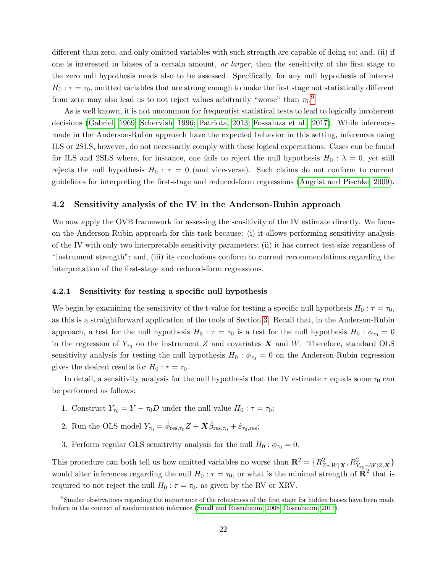different than zero, and only omitted variables with such strength are capable of doing so; and, (ii) if one is interested in biases of a certain amount, or larger, then the sensitivity of the first stage to the zero null hypothesis needs also to be assessed. Specifically, for any null hypothesis of interest  $H_0: \tau = \tau_0$ , omitted variables that are strong enough to make the first stage not statistically different from zero may also lead us to not reject values arbitrarily "worse" than  $\tau_0$ .<sup>[9](#page-0-0)</sup>

As is well known, it is not uncommon for frequentist statistical tests to lead to logically incoherent decisions [\(Gabriel, 1969;](#page-32-16) [Schervish, 1996;](#page-33-15) [Patriota, 2013;](#page-33-16) [Fossaluza et al., 2017\)](#page-32-17). While inferences made in the Anderson-Rubin approach have the expected behavior in this setting, inferences using ILS or 2SLS, however, do not necessarily comply with these logical expectations. Cases can be found for ILS and 2SLS where, for instance, one fails to reject the null hypothesis  $H_0 : \lambda = 0$ , yet still rejects the null hypothesis  $H_0$ :  $\tau = 0$  (and vice-versa). Such claims do not conform to current guidelines for interpreting the first-stage and reduced-form regressions [\(Angrist and Pischke, 2009\)](#page-31-2).

#### 4.2 Sensitivity analysis of the IV in the Anderson-Rubin approach

We now apply the OVB framework for assessing the sensitivity of the IV estimate directly. We focus on the Anderson-Rubin approach for this task because: (i) it allows performing sensitivity analysis of the IV with only two interpretable sensitivity parameters; (ii) it has correct test size regardless of "instrument strength"; and, (iii) its conclusions conform to current recommendations regarding the interpretation of the first-stage and reduced-form regressions.

#### 4.2.1 Sensitivity for testing a specific null hypothesis

We begin by examining the sensitivity of the t-value for testing a specific null hypothesis  $H_0 : \tau = \tau_0$ , as this is a straightforward application of the tools of Section [3.](#page-11-0) Recall that, in the Anderson-Rubin approach, a test for the null hypothesis  $H_0 : \tau = \tau_0$  is a test for the null hypothesis  $H_0 : \phi_{\tau_0} = 0$ in the regression of  $Y_{\tau_0}$  on the instrument Z and covariates X and W. Therefore, standard OLS sensitivity analysis for testing the null hypothesis  $H_0$ :  $\phi_{\tau_0} = 0$  on the Anderson-Rubin regression gives the desired results for  $H_0$ :  $\tau = \tau_0$ .

In detail, a sensitivity analysis for the null hypothesis that the IV estimate  $\tau$  equals some  $\tau_0$  can be performed as follows:

- 1. Construct  $Y_{\tau_0} = Y \tau_0 D$  under the null value  $H_0 : \tau = \tau_0$ ;
- 2. Run the OLS model  $Y_{\tau_0} = \hat{\phi}_{\text{res},\tau_0} Z + \hat{X}\hat{\beta}_{\text{res},\tau_0} + \hat{\varepsilon}_{\tau_0,\text{res}};$
- 3. Perform regular OLS sensitivity analysis for the null  $H_0$  :  $\phi_{\tau_0} = 0$ .

This procedure can both tell us how omitted variables no worse than  $\mathbf{R}^2 = \{R^2_{Z\sim W|\mathbf{X}}, R^2_{Y_{\tau_0} \sim W|Z,\mathbf{X}}\}$ would alter inferences regarding the null  $H_0: \tau = \tau_0$ , or what is the minimal strength of  $\mathbb{R}^2$  that is required to not reject the null  $H_0 : \tau = \tau_0$ , as given by the RV or XRV.

<sup>&</sup>lt;sup>9</sup>Similar observations regarding the importance of the robustness of the first stage for hidden biases have been made before in the context of randomization inference [\(Small and Rosenbaum, 2008;](#page-33-10) [Rosenbaum, 2017\)](#page-33-2).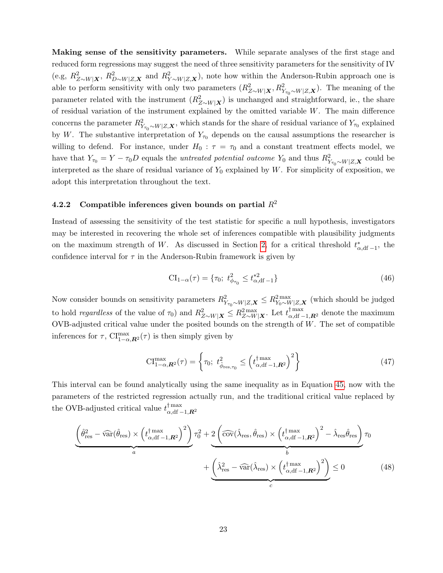Making sense of the sensitivity parameters. While separate analyses of the first stage and reduced form regressions may suggest the need of three sensitivity parameters for the sensitivity of IV (e.g,  $R_{Z\sim W|\mathbf{X}}^2$ ,  $R_{D\sim W|Z,\mathbf{X}}^2$  and  $R_{Y\sim W|Z,\mathbf{X}}^2$ ), note how within the Anderson-Rubin approach one is able to perform sensitivity with only two parameters  $(R_{Z\sim W|X}^2, R_{Y_{\tau_0}\sim W|Z,X}^2)$ . The meaning of the parameter related with the instrument  $(R_{Z\sim W|\mathbf{X}}^2)$  is unchanged and straightforward, ie., the share of residual variation of the instrument explained by the omitted variable W. The main difference concerns the parameter  $R_{Y_{\tau_0} \sim W|Z,\mathbf{X}}^2$ , which stands for the share of residual variance of  $Y_{\tau_0}$  explained by W. The substantive interpretation of  $Y_{\tau_0}$  depends on the causal assumptions the researcher is willing to defend. For instance, under  $H_0$ :  $\tau = \tau_0$  and a constant treatment effects model, we have that  $Y_{\tau_0} = Y - \tau_0 D$  equals the *untreated potential outcome*  $Y_0$  and thus  $R_{Y_{\tau_0} \sim W|Z, \mathbf{X}}^2$  could be interpreted as the share of residual variance of  $Y_0$  explained by W. For simplicity of exposition, we adopt this interpretation throughout the text.

# <span id="page-23-1"></span>4.2.2 Compatible inferences given bounds on partial  $R^2$

Instead of assessing the sensitivity of the test statistic for specific a null hypothesis, investigators may be interested in recovering the whole set of inferences compatible with plausibility judgments on the maximum strength of W. As discussed in Section [2,](#page-3-0) for a critical threshold  $t^*_{\alpha, df-1}$ , the confidence interval for  $\tau$  in the Anderson-Rubin framework is given by

<span id="page-23-0"></span>
$$
CI_{1-\alpha}(\tau) = \{\tau_0; t^2_{\phi_{\tau_0}} \le t^{*2}_{\alpha, df-1}\}\tag{46}
$$

Now consider bounds on sensitivity parameters  $R^2_{Y_{\tau_0} \sim W|Z, \mathbf{X}} \leq R^2_{Y_0 \sim W|Z, \mathbf{X}}$  (which should be judged to hold regardless of the value of  $\tau_0$ ) and  $R_{Z\sim W|\mathbf{X}}^2 \leq R_{Z\sim W|\mathbf{X}}^{2}$ . Let  $t_{\alpha,df-1,\mathbf{R}^2}^{1 \text{ max}}$  denote the maximum OVB-adjusted critical value under the posited bounds on the strength of  $W$ . The set of compatible inferences for  $\tau$ ,  $\text{CI}^{\text{max}}_{1-\alpha,\mathbf{R}^2}(\tau)$  is then simply given by

$$
\mathrm{CI}^{\max}_{1-\alpha,\mathbf{R}^2}(\tau) = \left\{ \tau_0; \ t^2_{\hat{\phi}_{\text{res},\tau_0}} \le \left( t^{\dagger \max}_{\alpha,\text{df}-1,\mathbf{R}^2} \right)^2 \right\} \tag{47}
$$

This interval can be found analytically using the same inequality as in Equation [45,](#page-21-0) now with the parameters of the restricted regression actually run, and the traditional critical value replaced by the OVB-adjusted critical value  $t_{\alpha,df}^{\dagger \max}$  $\alpha$ ,df  $-1$ , $\mathbb{R}^2$ 

$$
\underbrace{\left(\hat{\theta}_{\text{res}}^{2} - \widehat{\text{var}}(\hat{\theta}_{\text{res}}) \times \left(t_{\alpha, df-1, R^{2}}^{\dagger} \right)^{2}\right)}_{a} \tau_{0}^{2} + \underbrace{2 \left(\widehat{\text{cov}}(\hat{\lambda}_{\text{res}}, \hat{\theta}_{\text{res}}) \times \left(t_{\alpha, df-1, R^{2}}^{\dagger} \right)^{2} - \hat{\lambda}_{\text{res}} \hat{\theta}_{\text{res}}\right)}_{b} \tau_{0}
$$
\n
$$
+ \underbrace{\left(\hat{\lambda}_{\text{res}}^{2} - \widehat{\text{var}}(\hat{\lambda}_{\text{res}}) \times \left(t_{\alpha, df-1, R^{2}}^{\dagger} \right)^{2}\right)}_{c} \leq 0
$$
\n(48)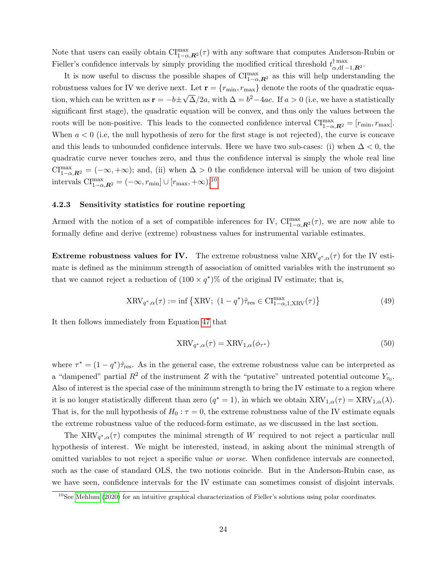Note that users can easily obtain  $\text{CI}^{\text{max}}_{1-\alpha,\textbf{R}^2}(\tau)$  with any software that computes Anderson-Rubin or Fieller's confidence intervals by simply providing the modified critical threshold  $t_{\alpha}^{\dagger}$  max ⊺ max<br>α,df −1, $\bm{R}^2$  ·

It is now useful to discuss the possible shapes of  $\mathrm{CI}^{\max}_{1-\alpha,\mathbf{R}^2}$  as this will help understanding the robustness values for IV we derive next. Let  $\mathbf{r} = \{r_{\min}, r_{\max}\}\$  denote the roots of the quadratic equation, which can be written as  $\mathbf{r} = -b \pm \sqrt{\Delta}/2a$ , with  $\Delta = b^2 - 4ac$ . If  $a > 0$  (i.e, we have a statistically significant first stage), the quadratic equation will be convex, and thus only the values between the roots will be non-positive. This leads to the connected confidence interval  $\text{CI}^{\text{max}}_{1-\alpha,\textbf{R}^2} = [r_{\text{min}}, r_{\text{max}}]$ . When  $a < 0$  (i.e, the null hypothesis of zero for the first stage is not rejected), the curve is concave and this leads to unbounded confidence intervals. Here we have two sub-cases: (i) when  $\Delta < 0$ , the quadratic curve never touches zero, and thus the confidence interval is simply the whole real line  $\text{CI}^{\text{max}}_{1-\alpha,\mathbf{R}^2} = (-\infty, +\infty);$  and, (ii) when  $\Delta > 0$  the confidence interval will be union of two disjoint intervals  $\text{CI}^{\text{max}}_{1-\alpha,\boldsymbol{R}^2} = (-\infty, r_{\text{min}}] \cup [r_{\text{max}}, +\infty)$ .<sup>[10](#page-0-0)</sup>

#### <span id="page-24-0"></span>4.2.3 Sensitivity statistics for routine reporting

Armed with the notion of a set of compatible inferences for IV,  $CI_{1-\alpha,\mathbf{R}^2}^{\max}(\tau)$ , we are now able to formally define and derive (extreme) robustness values for instrumental variable estimates.

**Extreme robustness values for IV.** The extreme robustness value  $XRV_{q^*,\alpha}(\tau)$  for the IV estimate is defined as the minimum strength of association of omitted variables with the instrument so that we cannot reject a reduction of  $(100 \times q^*)\%$  of the original IV estimate; that is,

$$
XRV_{q^*,\alpha}(\tau) := \inf \left\{ XRV; \ (1 - q^*) \hat{\tau}_{res} \in \text{CI}^{\text{max}}_{1-\alpha,1,\text{XRV}}(\tau) \right\}
$$
(49)

It then follows immediately from Equation [47](#page-23-0) that

$$
XRV_{q^*,\alpha}(\tau) = XRV_{1,\alpha}(\phi_{\tau^*})
$$
\n(50)

where  $\tau^* = (1 - q^*) \hat{\tau}_{\text{res}}$ . As in the general case, the extreme robustness value can be interpreted as a "dampened" partial  $R^2$  of the instrument Z with the "putative" untreated potential outcome  $Y_{\tau_0}$ . Also of interest is the special case of the minimum strength to bring the IV estimate to a region where it is no longer statistically different than zero  $(q^* = 1)$ , in which we obtain  $XRV_{1,\alpha}(\tau) = XRV_{1,\alpha}(\lambda)$ . That is, for the null hypothesis of  $H_0: \tau = 0$ , the extreme robustness value of the IV estimate equals the extreme robustness value of the reduced-form estimate, as we discussed in the last section.

The XRV<sub>q<sup>\*</sup>, $\alpha(\tau)$ </sub> computes the minimal strength of W required to not reject a particular null hypothesis of interest. We might be interested, instead, in asking about the minimal strength of omitted variables to not reject a specific value or worse. When confidence intervals are connected, such as the case of standard OLS, the two notions coincide. But in the Anderson-Rubin case, as we have seen, confidence intervals for the IV estimate can sometimes consist of disjoint intervals.

 $10$ See [Mehlum](#page-33-17) [\(2020\)](#page-33-17) for an intuitive graphical characterization of Fieller's solutions using polar coordinates.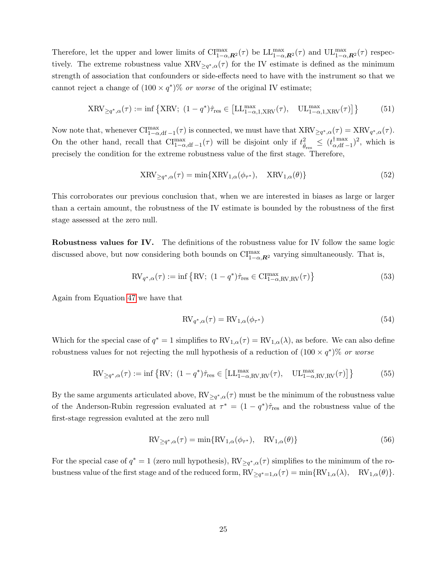Therefore, let the upper and lower limits of  $\text{CI}^{\text{max}}_{1-\alpha,\mathbf{R}^2}(\tau)$  be  $\text{LL}^{\text{max}}_{1-\alpha,\mathbf{R}^2}(\tau)$  and  $\text{UL}^{\text{max}}_{1-\alpha,\mathbf{R}^2}(\tau)$  respectively. The extreme robustness value  $XRV_{\geq q^*,\alpha}(\tau)$  for the IV estimate is defined as the minimum strength of association that confounders or side-effects need to have with the instrument so that we cannot reject a change of  $(100 \times q^*)\%$  or worse of the original IV estimate;

$$
XRV_{\geq q^*,\alpha}(\tau) := \inf \left\{ XRV; \ (1 - q^*) \hat{\tau}_{\text{res}} \in \left[ LL_{1-\alpha,1,XRV}^{\max}(\tau), \quad UL_{1-\alpha,1,XRV}^{\max}(\tau) \right] \right\} \tag{51}
$$

Now note that, whenever  $\text{CI}^{\text{max}}_{1-\alpha,\text{df}-1}(\tau)$  is connected, we must have that  $\text{XRV}_{\geq q^*,\alpha}(\tau) = \text{XRV}_{q^*,\alpha}(\tau)$ . On the other hand, recall that  $\text{CI}^{\text{max}}_{1-\alpha,\text{df}-1}(\tau)$  will be disjoint only if  $t^2_{\hat{\theta}_{\text{res}}} \leq (t^{\dagger \text{max}}_{\alpha,\text{df}-1})$  $\binom{\text{max}}{\alpha, \text{df}-1}^2$ , which is precisely the condition for the extreme robustness value of the first stage. Therefore,

$$
XRV_{\geq q^*,\alpha}(\tau) = \min\{XRV_{1,\alpha}(\phi_{\tau^*}), \quad \text{XRV}_{1,\alpha}(\theta)\}\tag{52}
$$

This corroborates our previous conclusion that, when we are interested in biases as large or larger than a certain amount, the robustness of the IV estimate is bounded by the robustness of the first stage assessed at the zero null.

Robustness values for IV. The definitions of the robustness value for IV follow the same logic discussed above, but now considering both bounds on  $\text{CI}^{\text{max}}_{1-\alpha,\mathbf{R}^2}$  varying simultaneously. That is,

$$
\text{RV}_{q^*,\alpha}(\tau) := \inf \left\{ \text{RV}; \ (1 - q^*) \hat{\tau}_{\text{res}} \in \text{CI}_{1-\alpha,\text{RV},\text{RV}}^{\text{max}}(\tau) \right\} \tag{53}
$$

Again from Equation [47](#page-23-0) we have that

$$
RV_{q^*,\alpha}(\tau) = RV_{1,\alpha}(\phi_{\tau^*})
$$
\n(54)

Which for the special case of  $q^* = 1$  simplifies to  $RV_{1,\alpha}(\tau) = RV_{1,\alpha}(\lambda)$ , as before. We can also define robustness values for not rejecting the null hypothesis of a reduction of  $(100 \times q^*)\%$  or worse

$$
\text{RV}_{\geq q^*,\alpha}(\tau) := \inf \left\{ \text{RV}; \ (1 - q^*) \hat{\tau}_{\text{res}} \in \left[ \text{LL}_{1-\alpha,\text{RV},\text{RV}}^{\text{max}}(\tau), \quad \text{UL}_{1-\alpha,\text{RV},\text{RV}}^{\text{max}}(\tau) \right] \right\} \tag{55}
$$

By the same arguments articulated above,  $RV_{\geq q^*,\alpha}(\tau)$  must be the minimum of the robustness value of the Anderson-Rubin regression evaluated at  $\tau^* = (1 - q^*) \hat{\tau}_{\text{res}}$  and the robustness value of the first-stage regression evaluted at the zero null

$$
RV_{\geq q^*,\alpha}(\tau) = \min\{RV_{1,\alpha}(\phi_{\tau^*}), \quad RV_{1,\alpha}(\theta)\}\tag{56}
$$

For the special case of  $q^* = 1$  (zero null hypothesis),  $RV_{\geq q^*,\alpha}(\tau)$  simplifies to the minimum of the robustness value of the first stage and of the reduced form,  $RV_{\geq q^*=1,\alpha}(\tau) = \min\{RV_{1,\alpha}(\lambda), \quad RV_{1,\alpha}(\theta)\}.$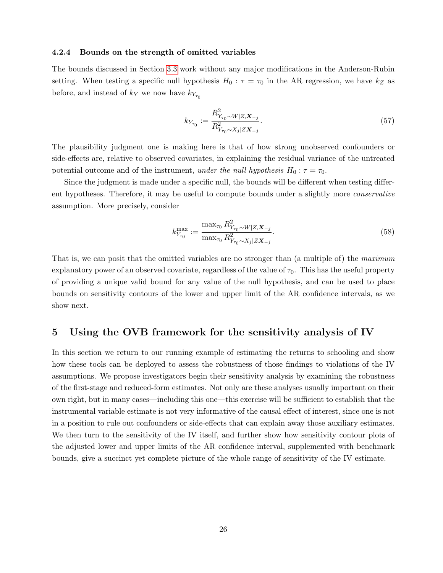#### 4.2.4 Bounds on the strength of omitted variables

The bounds discussed in Section [3.3](#page-18-1) work without any major modifications in the Anderson-Rubin setting. When testing a specific null hypothesis  $H_0 : \tau = \tau_0$  in the AR regression, we have  $k_Z$  as before, and instead of  $k_Y$  we now have  $k_{Y_{\tau_0}}$ 

$$
k_{Y_{\tau_0}} := \frac{R_{Y_{\tau_0} \sim W|Z, \mathbf{X}_{-j}}^2}{R_{Y_{\tau_0} \sim X_j|Z\mathbf{X}_{-j}}^2}.
$$
\n(57)

The plausibility judgment one is making here is that of how strong unobserved confounders or side-effects are, relative to observed covariates, in explaining the residual variance of the untreated potential outcome and of the instrument, under the null hypothesis  $H_0: \tau = \tau_0$ .

Since the judgment is made under a specific null, the bounds will be different when testing different hypotheses. Therefore, it may be useful to compute bounds under a slightly more conservative assumption. More precisely, consider

$$
k_{Y_{\tau_0}}^{\max} := \frac{\max_{\tau_0} R_{Y_{\tau_0} \sim W|Z, \mathbf{X}_{-j}}^2}{\max_{\tau_0} R_{Y_{\tau_0} \sim X_j|Z\mathbf{X}_{-j}}}.
$$
\n(58)

That is, we can posit that the omitted variables are no stronger than (a multiple of) the maximum explanatory power of an observed covariate, regardless of the value of  $\tau_0$ . This has the useful property of providing a unique valid bound for any value of the null hypothesis, and can be used to place bounds on sensitivity contours of the lower and upper limit of the AR confidence intervals, as we show next.

## <span id="page-26-0"></span>5 Using the OVB framework for the sensitivity analysis of IV

In this section we return to our running example of estimating the returns to schooling and show how these tools can be deployed to assess the robustness of those findings to violations of the IV assumptions. We propose investigators begin their sensitivity analysis by examining the robustness of the first-stage and reduced-form estimates. Not only are these analyses usually important on their own right, but in many cases—including this one—this exercise will be sufficient to establish that the instrumental variable estimate is not very informative of the causal effect of interest, since one is not in a position to rule out confounders or side-effects that can explain away those auxiliary estimates. We then turn to the sensitivity of the IV itself, and further show how sensitivity contour plots of the adjusted lower and upper limits of the AR confidence interval, supplemented with benchmark bounds, give a succinct yet complete picture of the whole range of sensitivity of the IV estimate.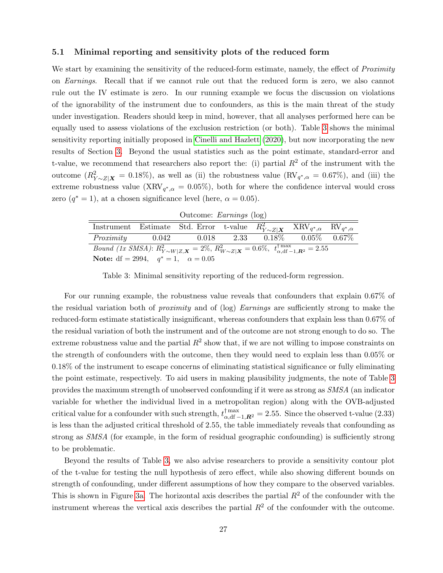### 5.1 Minimal reporting and sensitivity plots of the reduced form

We start by examining the sensitivity of the reduced-form estimate, namely, the effect of *Proximity* on Earnings. Recall that if we cannot rule out that the reduced form is zero, we also cannot rule out the IV estimate is zero. In our running example we focus the discussion on violations of the ignorability of the instrument due to confounders, as this is the main threat of the study under investigation. Readers should keep in mind, however, that all analyses performed here can be equally used to assess violations of the exclusion restriction (or both). Table [3](#page-27-0) shows the minimal sensitivity reporting initially proposed in [Cinelli and Hazlett](#page-32-9) [\(2020\)](#page-32-9), but now incorporating the new results of Section [3.](#page-11-0) Beyond the usual statistics such as the point estimate, standard-error and t-value, we recommend that researchers also report the: (i) partial  $R^2$  of the instrument with the outcome  $(R_{Y\sim Z|\mathbf{X}}^2=0.18\%)$ , as well as (ii) the robustness value  $(\text{RV}_{q^*,\alpha}=0.67\%)$ , and (iii) the extreme robustness value (XRV<sub>q<sup>\*</sup>, $\alpha$ </sub> = 0.05%), both for where the confidence interval would cross zero  $(q^*=1)$ , at a chosen significance level (here,  $\alpha = 0.05$ ).

|  | Outcome: Earnings (log) |  |
|--|-------------------------|--|
|--|-------------------------|--|

<span id="page-27-0"></span>

| $\overline{\text{Instrument}} \quad \text{Estimate} \quad \text{Std. Error} \quad \text{t-value} \quad R_{Y \sim Z   \boldsymbol{X}}^2 \quad \text{XRV}_{q^*, \alpha} \quad \text{RV}_{q^*, \alpha}$ |       |  |  |  |                                           |  |
|------------------------------------------------------------------------------------------------------------------------------------------------------------------------------------------------------|-------|--|--|--|-------------------------------------------|--|
| Proximity                                                                                                                                                                                            | 0.042 |  |  |  | $0.018$ $2.33$ $0.18\%$ $0.05\%$ $0.67\%$ |  |
| <i>Bound (1x SMSA)</i> : $R_{Y \sim W Z,\mathbf{X}}^2 = 2\%, R_{W \sim Z \mathbf{X}}^2 = 0.6\%, t_{\alpha,df-1,\mathbf{R}^2}^{\dagger \max} = 2.55$                                                  |       |  |  |  |                                           |  |
| <b>Note:</b> df = 2994, $q^* = 1$ , $\alpha = 0.05$                                                                                                                                                  |       |  |  |  |                                           |  |

Table 3: Minimal sensitivity reporting of the reduced-form regression.

For our running example, the robustness value reveals that confounders that explain 0.67% of the residual variation both of proximity and of (log) Earnings are sufficiently strong to make the reduced-form estimate statistically insignificant, whereas confounders that explain less than 0.67% of the residual variation of both the instrument and of the outcome are not strong enough to do so. The extreme robustness value and the partial  $R^2$  show that, if we are not willing to impose constraints on the strength of confounders with the outcome, then they would need to explain less than 0.05% or 0.18% of the instrument to escape concerns of eliminating statistical significance or fully eliminating the point estimate, respectively. To aid users in making plausibility judgments, the note of Table [3](#page-27-0) provides the maximum strength of unobserved confounding if it were as strong as SMSA (an indicator variable for whether the individual lived in a metropolitan region) along with the OVB-adjusted critical value for a confounder with such strength,  $t_{\alpha, df-1, R^2}^{\dagger, \max} = 2.55$ . Since the observed t-value (2.33) is less than the adjusted critical threshold of 2.55, the table immediately reveals that confounding as strong as SMSA (for example, in the form of residual geographic confounding) is sufficiently strong to be problematic.

Beyond the results of Table [3,](#page-27-0) we also advise researchers to provide a sensitivity contour plot of the t-value for testing the null hypothesis of zero effect, while also showing different bounds on strength of confounding, under different assumptions of how they compare to the observed variables. This is shown in Figure [3a.](#page-28-0) The horizontal axis describes the partial  $R<sup>2</sup>$  of the confounder with the instrument whereas the vertical axis describes the partial  $R<sup>2</sup>$  of the confounder with the outcome.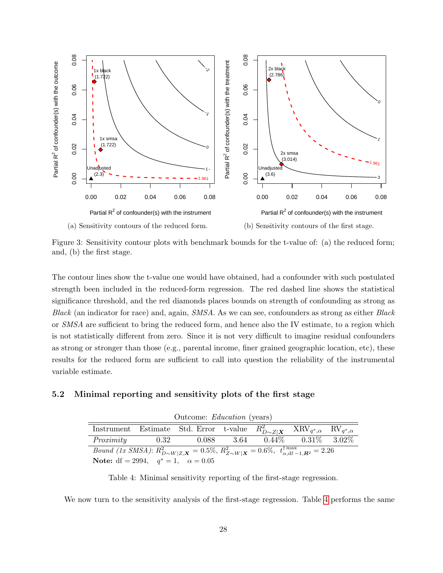<span id="page-28-0"></span>

Figure 3: Sensitivity contour plots with benchmark bounds for the t-value of: (a) the reduced form; and, (b) the first stage.

The contour lines show the t-value one would have obtained, had a confounder with such postulated strength been included in the reduced-form regression. The red dashed line shows the statistical significance threshold, and the red diamonds places bounds on strength of confounding as strong as Black (an indicator for race) and, again, SMSA. As we can see, confounders as strong as either Black or SMSA are sufficient to bring the reduced form, and hence also the IV estimate, to a region which is not statistically different from zero. Since it is not very difficult to imagine residual confounders as strong or stronger than those (e.g., parental income, finer grained geographic location, etc), these results for the reduced form are sufficient to call into question the reliability of the instrumental variable estimate.

### <span id="page-28-1"></span>5.2 Minimal reporting and sensitivity plots of the first stage

| Outcome: <i>Education</i> (years)                                                                                                                              |      |                                                                                                                                                                                                      |  |  |                                           |  |  |
|----------------------------------------------------------------------------------------------------------------------------------------------------------------|------|------------------------------------------------------------------------------------------------------------------------------------------------------------------------------------------------------|--|--|-------------------------------------------|--|--|
|                                                                                                                                                                |      | $\overline{\text{Instrument}} \quad \text{Estimate} \quad \text{Std. Error} \quad \text{t-value} \quad R_{D \sim Z   \boldsymbol{X}}^2 \quad \text{XRV}_{q^*, \alpha} \quad \text{RV}_{q^*, \alpha}$ |  |  |                                           |  |  |
| Proximity                                                                                                                                                      | 0.32 |                                                                                                                                                                                                      |  |  | $0.088$ $3.64$ $0.44\%$ $0.31\%$ $3.02\%$ |  |  |
| <i>Bound (1x SMSA)</i> : $R_{D\sim W Z,\mathbf{X}}^2 = 0.5\%$ , $R_{Z\sim W \mathbf{X}}^2 = 0.6\%$ , $t_{\alpha,\text{df}-1,\mathbf{R}^2}^{\text{max}} = 2.26$ |      |                                                                                                                                                                                                      |  |  |                                           |  |  |
| <b>Note:</b> df = 2994, $q^* = 1$ , $\alpha = 0.05$                                                                                                            |      |                                                                                                                                                                                                      |  |  |                                           |  |  |

Table 4: Minimal sensitivity reporting of the first-stage regression.

We now turn to the sensitivity analysis of the first-stage regression. Table [4](#page-28-1) performs the same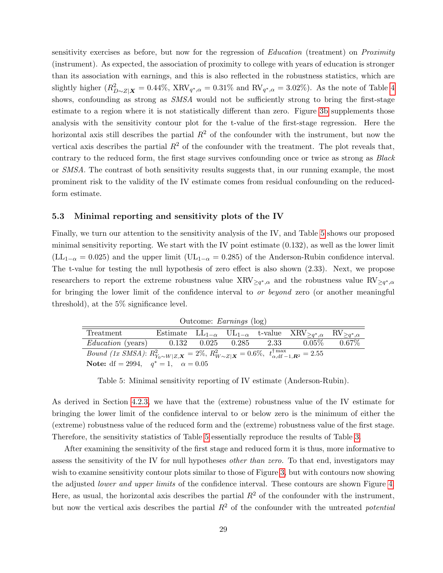sensitivity exercises as before, but now for the regression of *Education* (treatment) on *Proximity* (instrument). As expected, the association of proximity to college with years of education is stronger than its association with earnings, and this is also reflected in the robustness statistics, which are slightly higher  $(R_{D\sim Z|\mathbf{X}}^2=0.44\%, \text{ XRV}_{q^*,\alpha}=0.31\%$  and  $\text{RV}_{q^*,\alpha}=3.02\%$ ). As the note of Table [4](#page-28-1) shows, confounding as strong as  $SMSA$  would not be sufficiently strong to bring the first-stage estimate to a region where it is not statistically different than zero. Figure [3b](#page-28-0) supplements those analysis with the sensitivity contour plot for the t-value of the first-stage regression. Here the horizontal axis still describes the partial  $R^2$  of the confounder with the instrument, but now the vertical axis describes the partial  $R^2$  of the confounder with the treatment. The plot reveals that, contrary to the reduced form, the first stage survives confounding once or twice as strong as *Black* or SMSA. The contrast of both sensitivity results suggests that, in our running example, the most prominent risk to the validity of the IV estimate comes from residual confounding on the reducedform estimate.

### 5.3 Minimal reporting and sensitivity plots of the IV

Finally, we turn our attention to the sensitivity analysis of the IV, and Table [5](#page-29-0) shows our proposed minimal sensitivity reporting. We start with the IV point estimate (0.132), as well as the lower limit  $(L_{1-\alpha} = 0.025)$  and the upper limit  $(U_{1-\alpha} = 0.285)$  of the Anderson-Rubin confidence interval. The t-value for testing the null hypothesis of zero effect is also shown (2.33). Next, we propose researchers to report the extreme robustness value  $XRV_{\geq q^*,\alpha}$  and the robustness value  $RV_{\geq q^*,\alpha}$ for bringing the lower limit of the confidence interval to *or beyond* zero (or another meaningful threshold), at the 5% significance level.

| Outcome: Earnings (log) |  |
|-------------------------|--|
|                         |  |

<span id="page-29-0"></span>

| Treatment                                                                                                                                        |  |  | Estimate $LL_{1-\alpha}$ $UL_{1-\alpha}$ t-value $XRV_{\geq q^*,\alpha}$ $RV_{\geq q^*,\alpha}$ |  |
|--------------------------------------------------------------------------------------------------------------------------------------------------|--|--|-------------------------------------------------------------------------------------------------|--|
| <i>Education</i> (years) $0.132$ $0.025$ $0.285$ $2.33$ $0.05\%$ $0.67\%$                                                                        |  |  |                                                                                                 |  |
| <i>Bound (1x SMSA)</i> : $R_{Y_0 \sim W Z,\mathbf{X}}^2 = 2\%, R_{W \sim Z \mathbf{X}}^2 = 0.6\%, t_{\alpha,df-1,\mathbf{R}^2}^{\dagger} = 2.55$ |  |  |                                                                                                 |  |
| <b>Note:</b> df = 2994, $q^* = 1$ , $\alpha = 0.05$                                                                                              |  |  |                                                                                                 |  |

Table 5: Minimal sensitivity reporting of IV estimate (Anderson-Rubin).

As derived in Section [4.2.3,](#page-24-0) we have that the (extreme) robustness value of the IV estimate for bringing the lower limit of the confidence interval to or below zero is the minimum of either the (extreme) robustness value of the reduced form and the (extreme) robustness value of the first stage. Therefore, the sensitivity statistics of Table [5](#page-29-0) essentially reproduce the results of Table [3.](#page-27-0)

After examining the sensitivity of the first stage and reduced form it is thus, more informative to assess the sensitivity of the IV for null hypotheses *other than zero*. To that end, investigators may wish to examine sensitivity contour plots similar to those of Figure [3,](#page-28-0) but with contours now showing the adjusted lower and upper limits of the confidence interval. These contours are shown Figure [4.](#page-30-1) Here, as usual, the horizontal axis describes the partial  $R^2$  of the confounder with the instrument, but now the vertical axis describes the partial  $R<sup>2</sup>$  of the confounder with the untreated *potential*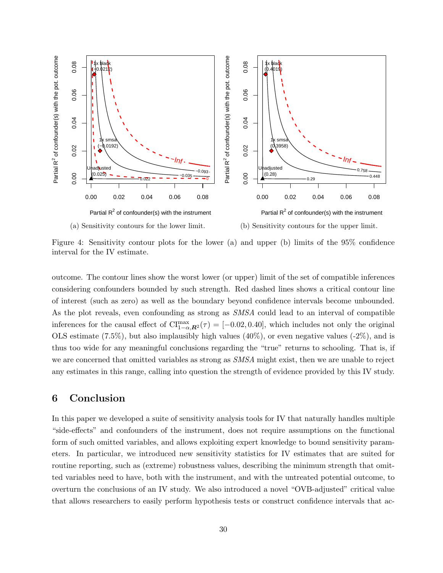<span id="page-30-1"></span>

Figure 4: Sensitivity contour plots for the lower (a) and upper (b) limits of the 95% confidence interval for the IV estimate.

outcome. The contour lines show the worst lower (or upper) limit of the set of compatible inferences considering confounders bounded by such strength. Red dashed lines shows a critical contour line of interest (such as zero) as well as the boundary beyond confidence intervals become unbounded. As the plot reveals, even confounding as strong as SMSA could lead to an interval of compatible inferences for the causal effect of  $\text{CI}^{\text{max}}_{1-\alpha,\mathbf{R}^2}(\tau) = [-0.02, 0.40]$ , which includes not only the original OLS estimate  $(7.5\%)$ , but also implausibly high values  $(40\%)$ , or even negative values  $(-2\%)$ , and is thus too wide for any meaningful conclusions regarding the "true" returns to schooling. That is, if we are concerned that omitted variables as strong as SMSA might exist, then we are unable to reject any estimates in this range, calling into question the strength of evidence provided by this IV study.

# <span id="page-30-0"></span>6 Conclusion

In this paper we developed a suite of sensitivity analysis tools for IV that naturally handles multiple "side-effects" and confounders of the instrument, does not require assumptions on the functional form of such omitted variables, and allows exploiting expert knowledge to bound sensitivity parameters. In particular, we introduced new sensitivity statistics for IV estimates that are suited for routine reporting, such as (extreme) robustness values, describing the minimum strength that omitted variables need to have, both with the instrument, and with the untreated potential outcome, to overturn the conclusions of an IV study. We also introduced a novel "OVB-adjusted" critical value that allows researchers to easily perform hypothesis tests or construct confidence intervals that ac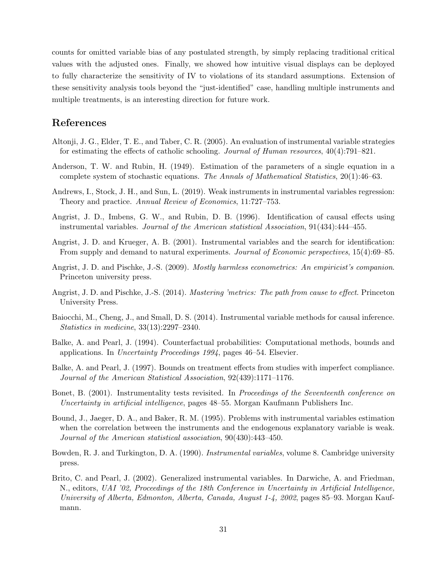counts for omitted variable bias of any postulated strength, by simply replacing traditional critical values with the adjusted ones. Finally, we showed how intuitive visual displays can be deployed to fully characterize the sensitivity of IV to violations of its standard assumptions. Extension of these sensitivity analysis tools beyond the "just-identified" case, handling multiple instruments and multiple treatments, is an interesting direction for future work.

# References

- <span id="page-31-8"></span>Altonji, J. G., Elder, T. E., and Taber, C. R. (2005). An evaluation of instrumental variable strategies for estimating the effects of catholic schooling. Journal of Human resources, 40(4):791–821.
- <span id="page-31-12"></span>Anderson, T. W. and Rubin, H. (1949). Estimation of the parameters of a single equation in a complete system of stochastic equations. The Annals of Mathematical Statistics, 20(1):46–63.
- <span id="page-31-11"></span>Andrews, I., Stock, J. H., and Sun, L. (2019). Weak instruments in instrumental variables regression: Theory and practice. Annual Review of Economics, 11:727–753.
- <span id="page-31-1"></span>Angrist, J. D., Imbens, G. W., and Rubin, D. B. (1996). Identification of causal effects using instrumental variables. Journal of the American statistical Association, 91(434):444–455.
- <span id="page-31-9"></span>Angrist, J. D. and Krueger, A. B. (2001). Instrumental variables and the search for identification: From supply and demand to natural experiments. Journal of Economic perspectives, 15(4):69–85.
- <span id="page-31-2"></span>Angrist, J. D. and Pischke, J.-S. (2009). *Mostly harmless econometrics: An empiricist's companion.* Princeton university press.
- <span id="page-31-10"></span>Angrist, J. D. and Pischke, J.-S. (2014). Mastering 'metrics: The path from cause to effect. Princeton University Press.
- <span id="page-31-5"></span>Baiocchi, M., Cheng, J., and Small, D. S. (2014). Instrumental variable methods for causal inference. Statistics in medicine, 33(13):2297–2340.
- <span id="page-31-3"></span>Balke, A. and Pearl, J. (1994). Counterfactual probabilities: Computational methods, bounds and applications. In Uncertainty Proceedings 1994, pages 46–54. Elsevier.
- <span id="page-31-4"></span>Balke, A. and Pearl, J. (1997). Bounds on treatment effects from studies with imperfect compliance. Journal of the American Statistical Association, 92(439):1171–1176.
- <span id="page-31-6"></span>Bonet, B. (2001). Instrumentality tests revisited. In Proceedings of the Seventeenth conference on Uncertainty in artificial intelligence, pages 48–55. Morgan Kaufmann Publishers Inc.
- <span id="page-31-7"></span>Bound, J., Jaeger, D. A., and Baker, R. M. (1995). Problems with instrumental variables estimation when the correlation between the instruments and the endogenous explanatory variable is weak. Journal of the American statistical association, 90(430):443–450.
- <span id="page-31-0"></span>Bowden, R. J. and Turkington, D. A. (1990). Instrumental variables, volume 8. Cambridge university press.
- <span id="page-31-13"></span>Brito, C. and Pearl, J. (2002). Generalized instrumental variables. In Darwiche, A. and Friedman, N., editors, UAI '02, Proceedings of the 18th Conference in Uncertainty in Artificial Intelligence, University of Alberta, Edmonton, Alberta, Canada, August 1-4, 2002, pages 85–93. Morgan Kaufmann.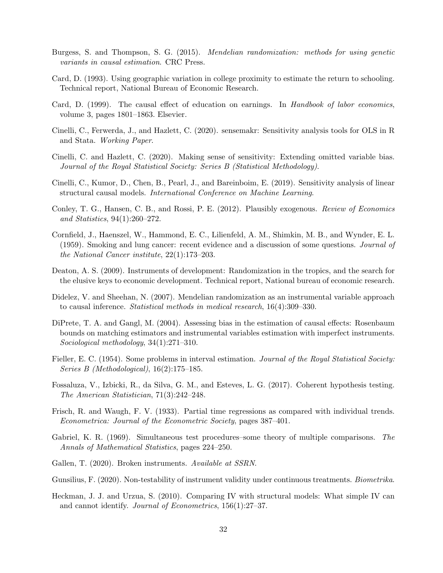- <span id="page-32-1"></span>Burgess, S. and Thompson, S. G. (2015). Mendelian randomization: methods for using genetic variants in causal estimation. CRC Press.
- <span id="page-32-12"></span>Card, D. (1993). Using geographic variation in college proximity to estimate the return to schooling. Technical report, National Bureau of Economic Research.
- <span id="page-32-11"></span>Card, D. (1999). The causal effect of education on earnings. In Handbook of labor economics, volume 3, pages 1801–1863. Elsevier.
- <span id="page-32-10"></span>Cinelli, C., Ferwerda, J., and Hazlett, C. (2020). sensemakr: Sensitivity analysis tools for OLS in R and Stata. Working Paper.
- <span id="page-32-9"></span>Cinelli, C. and Hazlett, C. (2020). Making sense of sensitivity: Extending omitted variable bias. Journal of the Royal Statistical Society: Series B (Statistical Methodology).
- <span id="page-32-8"></span>Cinelli, C., Kumor, D., Chen, B., Pearl, J., and Bareinboim, E. (2019). Sensitivity analysis of linear structural causal models. International Conference on Machine Learning.
- <span id="page-32-7"></span>Conley, T. G., Hansen, C. B., and Rossi, P. E. (2012). Plausibly exogenous. Review of Economics and Statistics, 94(1):260–272.
- <span id="page-32-15"></span>Cornfield, J., Haenszel, W., Hammond, E. C., Lilienfeld, A. M., Shimkin, M. B., and Wynder, E. L. (1959). Smoking and lung cancer: recent evidence and a discussion of some questions. Journal of the National Cancer institute, 22(1):173–203.
- <span id="page-32-3"></span>Deaton, A. S. (2009). Instruments of development: Randomization in the tropics, and the search for the elusive keys to economic development. Technical report, National bureau of economic research.
- <span id="page-32-0"></span>Didelez, V. and Sheehan, N. (2007). Mendelian randomization as an instrumental variable approach to causal inference. Statistical methods in medical research, 16(4):309–330.
- <span id="page-32-6"></span>DiPrete, T. A. and Gangl, M. (2004). Assessing bias in the estimation of causal effects: Rosenbaum bounds on matching estimators and instrumental variables estimation with imperfect instruments. Sociological methodology, 34(1):271–310.
- <span id="page-32-14"></span>Fieller, E. C. (1954). Some problems in interval estimation. Journal of the Royal Statistical Society: Series B (Methodological), 16(2):175–185.
- <span id="page-32-17"></span>Fossaluza, V., Izbicki, R., da Silva, G. M., and Esteves, L. G. (2017). Coherent hypothesis testing. The American Statistician, 71(3):242–248.
- <span id="page-32-13"></span>Frisch, R. and Waugh, F. V. (1933). Partial time regressions as compared with individual trends. Econometrica: Journal of the Econometric Society, pages 387–401.
- <span id="page-32-16"></span>Gabriel, K. R. (1969). Simultaneous test procedures–some theory of multiple comparisons. The Annals of Mathematical Statistics, pages 224–250.
- <span id="page-32-5"></span>Gallen, T. (2020). Broken instruments. Available at SSRN.
- <span id="page-32-2"></span>Gunsilius, F. (2020). Non-testability of instrument validity under continuous treatments. *Biometrika*.
- <span id="page-32-4"></span>Heckman, J. J. and Urzua, S. (2010). Comparing IV with structural models: What simple IV can and cannot identify. Journal of Econometrics, 156(1):27–37.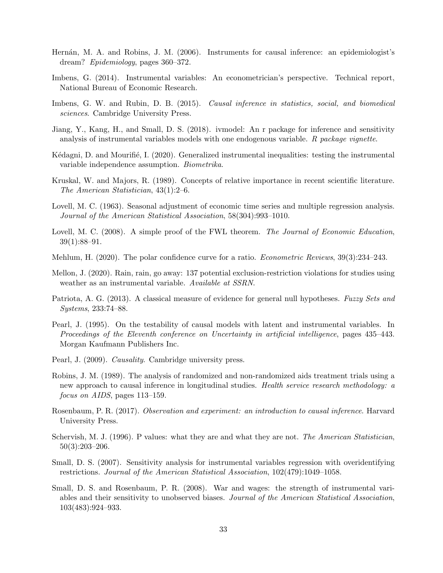- <span id="page-33-5"></span>Hernán, M. A. and Robins, J. M. (2006). Instruments for causal inference: an epidemiologist's dream? Epidemiology, pages 360–372.
- <span id="page-33-4"></span>Imbens, G. (2014). Instrumental variables: An econometrician's perspective. Technical report, National Bureau of Economic Research.
- <span id="page-33-1"></span>Imbens, G. W. and Rubin, D. B. (2015). Causal inference in statistics, social, and biomedical sciences. Cambridge University Press.
- <span id="page-33-11"></span>Jiang, Y., Kang, H., and Small, D. S. (2018). ivmodel: An r package for inference and sensitivity analysis of instrumental variables models with one endogenous variable. R package vignette.
- <span id="page-33-7"></span>Kédagni, D. and Mourifié, I. (2020). Generalized instrumental inequalities: testing the instrumental variable independence assumption. Biometrika.
- <span id="page-33-14"></span>Kruskal, W. and Majors, R. (1989). Concepts of relative importance in recent scientific literature. The American Statistician, 43(1):2–6.
- <span id="page-33-12"></span>Lovell, M. C. (1963). Seasonal adjustment of economic time series and multiple regression analysis. Journal of the American Statistical Association, 58(304):993–1010.
- <span id="page-33-13"></span>Lovell, M. C. (2008). A simple proof of the FWL theorem. The Journal of Economic Education, 39(1):88–91.
- <span id="page-33-17"></span>Mehlum, H. (2020). The polar confidence curve for a ratio. *Econometric Reviews*, 39(3):234–243.
- <span id="page-33-8"></span>Mellon, J. (2020). Rain, rain, go away: 137 potential exclusion-restriction violations for studies using weather as an instrumental variable. Available at SSRN.
- <span id="page-33-16"></span>Patriota, A. G. (2013). A classical measure of evidence for general null hypotheses. Fuzzy Sets and Systems, 233:74–88.
- <span id="page-33-6"></span>Pearl, J. (1995). On the testability of causal models with latent and instrumental variables. In Proceedings of the Eleventh conference on Uncertainty in artificial intelligence, pages 435–443. Morgan Kaufmann Publishers Inc.
- <span id="page-33-0"></span>Pearl, J. (2009). Causality. Cambridge university press.
- <span id="page-33-3"></span>Robins, J. M. (1989). The analysis of randomized and non-randomized aids treatment trials using a new approach to causal inference in longitudinal studies. Health service research methodology: a focus on AIDS, pages 113–159.
- <span id="page-33-2"></span>Rosenbaum, P. R. (2017). Observation and experiment: an introduction to causal inference. Harvard University Press.
- <span id="page-33-15"></span>Schervish, M. J. (1996). P values: what they are and what they are not. The American Statistician, 50(3):203–206.
- <span id="page-33-9"></span>Small, D. S. (2007). Sensitivity analysis for instrumental variables regression with overidentifying restrictions. Journal of the American Statistical Association, 102(479):1049–1058.
- <span id="page-33-10"></span>Small, D. S. and Rosenbaum, P. R. (2008). War and wages: the strength of instrumental variables and their sensitivity to unobserved biases. Journal of the American Statistical Association, 103(483):924–933.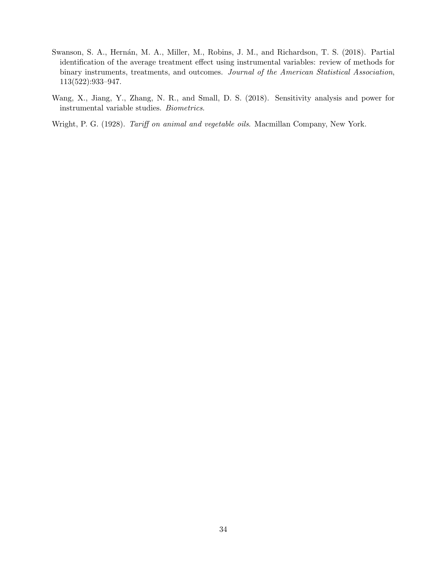- <span id="page-34-1"></span>Swanson, S. A., Hernán, M. A., Miller, M., Robins, J. M., and Richardson, T. S. (2018). Partial identification of the average treatment effect using instrumental variables: review of methods for binary instruments, treatments, and outcomes. Journal of the American Statistical Association, 113(522):933–947.
- <span id="page-34-2"></span>Wang, X., Jiang, Y., Zhang, N. R., and Small, D. S. (2018). Sensitivity analysis and power for instrumental variable studies. Biometrics.

<span id="page-34-0"></span>Wright, P. G. (1928). Tariff on animal and vegetable oils. Macmillan Company, New York.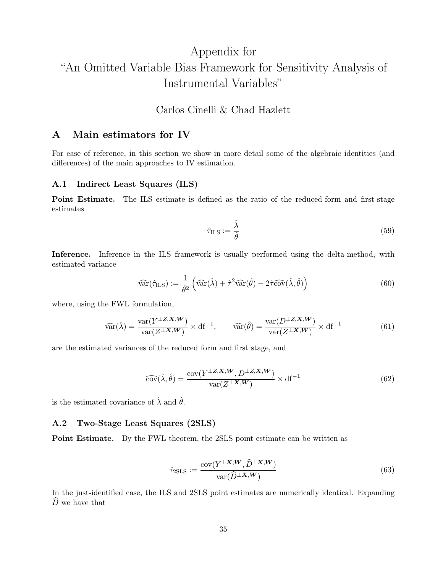# Appendix for "An Omitted Variable Bias Framework for Sensitivity Analysis of Instrumental Variables"

# Carlos Cinelli & Chad Hazlett

## A Main estimators for IV

For ease of reference, in this section we show in more detail some of the algebraic identities (and differences) of the main approaches to IV estimation.

### A.1 Indirect Least Squares (ILS)

Point Estimate. The ILS estimate is defined as the ratio of the reduced-form and first-stage estimates

<span id="page-35-1"></span><span id="page-35-0"></span>
$$
\hat{\tau}_{\text{ILS}} := \frac{\hat{\lambda}}{\hat{\theta}} \tag{59}
$$

Inference. Inference in the ILS framework is usually performed using the delta-method, with estimated variance

$$
\widehat{\text{var}}(\hat{\tau}_{\text{ILS}}) := \frac{1}{\hat{\theta}^2} \left( \widehat{\text{var}}(\hat{\lambda}) + \hat{\tau}^2 \widehat{\text{var}}(\hat{\theta}) - 2\hat{\tau}\widehat{\text{cov}}(\hat{\lambda}, \hat{\theta}) \right) \tag{60}
$$

where, using the FWL formulation,

$$
\widehat{\text{var}}(\hat{\lambda}) = \frac{\text{var}(Y^{\perp Z, \mathbf{X}, \mathbf{W}})}{\text{var}(Z^{\perp \mathbf{X}, \mathbf{W}})} \times df^{-1}, \qquad \widehat{\text{var}}(\hat{\theta}) = \frac{\text{var}(D^{\perp Z, \mathbf{X}, \mathbf{W}})}{\text{var}(Z^{\perp \mathbf{X}, \mathbf{W}})} \times df^{-1}
$$
(61)

are the estimated variances of the reduced form and first stage, and

$$
\widehat{\text{cov}}(\hat{\lambda}, \hat{\theta}) = \frac{\text{cov}(Y^{\perp Z, \mathbf{X}, \mathbf{W}}, D^{\perp Z, \mathbf{X}, \mathbf{W}})}{\text{var}(Z^{\perp \mathbf{X}, \mathbf{W}})} \times df^{-1}
$$
(62)

is the estimated covariance of  $\hat{\lambda}$  and  $\hat{\theta}$ .

#### A.2 Two-Stage Least Squares (2SLS)

Point Estimate. By the FWL theorem, the 2SLS point estimate can be written as

$$
\hat{\tau}_{2SLS} := \frac{\text{cov}(Y^{\perp X, W}, \hat{D}^{\perp X, W})}{\text{var}(\hat{D}^{\perp X, W})}
$$
(63)

In the just-identified case, the ILS and 2SLS point estimates are numerically identical. Expanding  $\widehat{D}$  we have that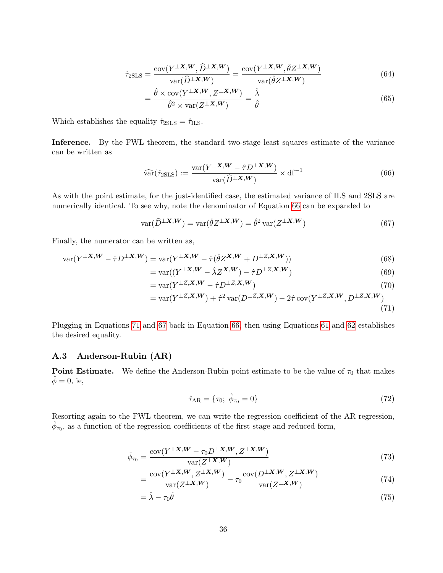$$
\hat{\tau}_{2\text{SLS}} = \frac{\text{cov}(Y^{\perp X, W}, \hat{D}^{\perp X, W})}{\text{var}(\hat{D}^{\perp X, W})} = \frac{\text{cov}(Y^{\perp X, W}, \hat{\theta} Z^{\perp X, W})}{\text{var}(\hat{\theta} Z^{\perp X, W})}
$$
(64)

$$
= \frac{\hat{\theta} \times \text{cov}(Y^{\perp X, W}, Z^{\perp X, W})}{\hat{\theta}^2 \times \text{var}(Z^{\perp X, W})} = \frac{\hat{\lambda}}{\hat{\theta}}
$$
(65)

Which establishes the equality  $\hat{\tau}_{2SLS} = \hat{\tau}_{ILS}$ .

Inference. By the FWL theorem, the standard two-stage least squares estimate of the variance can be written as

<span id="page-36-0"></span>
$$
\widehat{\text{var}}(\hat{\tau}_{2\text{SLS}}) := \frac{\text{var}(Y^{\perp X, W} - \hat{\tau} D^{\perp X, W})}{\text{var}(\hat{D}^{\perp X, W})} \times \text{df}^{-1}
$$
(66)

As with the point estimate, for the just-identified case, the estimated variance of ILS and 2SLS are numerically identical. To see why, note the denominator of Equation [66](#page-36-0) can be expanded to

$$
\text{var}(\widehat{D}^{\perp X,W}) = \text{var}(\widehat{\theta}Z^{\perp X,W}) = \widehat{\theta}^2 \text{var}(Z^{\perp X,W})
$$
\n(67)

Finally, the numerator can be written as,

$$
\text{var}(Y^{\perp X, W} - \hat{\tau}D^{\perp X, W}) = \text{var}(Y^{\perp X, W} - \hat{\tau}(\hat{\theta}Z^{X, W} + D^{\perp Z, X, W}))
$$
\n(68)

<span id="page-36-2"></span>
$$
= \text{var}((Y^{\perp X, W} - \hat{\lambda} Z^{X, W}) - \hat{\tau} D^{\perp Z, X, W}) \tag{69}
$$

$$
= \text{var}(Y^{\perp Z, \mathbf{X}, \mathbf{W}} - \hat{\tau} D^{\perp Z, \mathbf{X}, \mathbf{W}}) \tag{70}
$$

$$
= \text{var}(Y^{\perp Z, \mathbf{X}, \mathbf{W}}) + \hat{\tau}^2 \text{var}(D^{\perp Z, \mathbf{X}, \mathbf{W}}) - 2\hat{\tau} \text{cov}(Y^{\perp Z, \mathbf{X}, \mathbf{W}}, D^{\perp Z, \mathbf{X}, \mathbf{W}})
$$
\n(71)

Plugging in Equations [71](#page-36-1) and [67](#page-36-2) back in Equation [66,](#page-36-0) then using Equations [61](#page-35-0) and [62](#page-35-1) establishes the desired equality.

### A.3 Anderson-Rubin (AR)

**Point Estimate.** We define the Anderson-Rubin point estimate to be the value of  $\tau_0$  that makes  $\phi = 0$ , ie,

<span id="page-36-3"></span><span id="page-36-1"></span>
$$
\hat{\tau}_{AR} = \{\tau_0; \ \hat{\phi}_{\tau_0} = 0\} \tag{72}
$$

Resorting again to the FWL theorem, we can write the regression coefficient of the AR regression,  $\hat{\phi}_{\tau_0}$ , as a function of the regression coefficients of the first stage and reduced form,

$$
\hat{\phi}_{\tau_0} = \frac{\text{cov}(Y^{\perp X, W} - \tau_0 D^{\perp X, W}, Z^{\perp X, W})}{\text{var}(Z^{\perp X, W})}
$$
(73)

$$
= \frac{\text{cov}(Y^{\perp X, W}, Z^{\perp X, W})}{\text{var}(Z^{\perp X, W})} - \tau_0 \frac{\text{cov}(D^{\perp X, W}, Z^{\perp X, W})}{\text{var}(Z^{\perp X, W})} \tag{74}
$$

$$
=\hat{\lambda} - \tau_0 \hat{\theta} \tag{75}
$$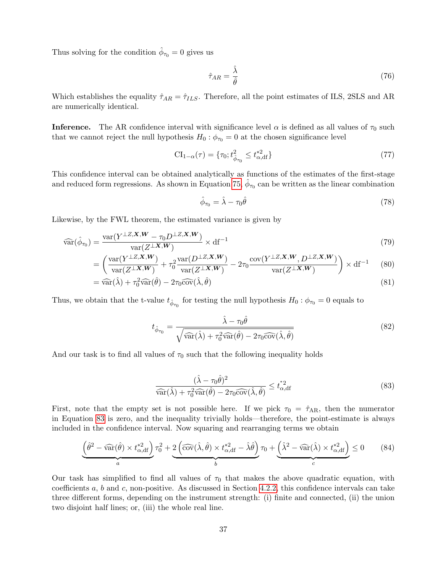Thus solving for the condition  $\hat{\phi}_{\tau_0} = 0$  gives us

$$
\hat{\tau}_{AR} = \frac{\hat{\lambda}}{\hat{\theta}} \tag{76}
$$

Which establishes the equality  $\hat{\tau}_{AR} = \hat{\tau}_{ILS}$ . Therefore, all the point estimates of ILS, 2SLS and AR are numerically identical.

**Inference.** The AR confidence interval with significance level  $\alpha$  is defined as all values of  $\tau_0$  such that we cannot reject the null hypothesis  $H_0$ :  $\phi_{\tau_0} = 0$  at the chosen significance level

$$
CI_{1-\alpha}(\tau) = \{\tau_0; t^2_{\hat{\phi}_{\tau_0}} \le t^{*2}_{\alpha, df}\}\tag{77}
$$

This confidence interval can be obtained analytically as functions of the estimates of the first-stage and reduced form regressions. As shown in Equation [75,](#page-36-3)  $\hat{\phi}_{\tau_0}$  can be written as the linear combination

<span id="page-37-2"></span><span id="page-37-1"></span>
$$
\hat{\phi}_{\tau_0} = \hat{\lambda} - \tau_0 \hat{\theta} \tag{78}
$$

Likewise, by the FWL theorem, the estimated variance is given by

$$
\widehat{\text{var}}(\hat{\phi}_{\tau_0}) = \frac{\text{var}(Y^{\perp Z, \mathbf{X}, \mathbf{W}} - \tau_0 D^{\perp Z, \mathbf{X}, \mathbf{W}})}{\text{var}(Z^{\perp \mathbf{X}, \mathbf{W}})} \times \text{df}^{-1}
$$
\n(79)

$$
= \left(\frac{\text{var}(Y^{\perp Z, \mathbf{X}, \mathbf{W}})}{\text{var}(Z^{\perp \mathbf{X}, \mathbf{W}})} + \tau_0^2 \frac{\text{var}(D^{\perp Z, \mathbf{X}, \mathbf{W}})}{\text{var}(Z^{\perp \mathbf{X}, \mathbf{W}})} - 2\tau_0 \frac{\text{cov}(Y^{\perp Z, \mathbf{X}, \mathbf{W}}, D^{\perp Z, \mathbf{X}, \mathbf{W}})}{\text{var}(Z^{\perp \mathbf{X}, \mathbf{W}})}\right) \times df^{-1}
$$
(80)

$$
= \widehat{\text{var}}(\hat{\lambda}) + \tau_0^2 \widehat{\text{var}}(\hat{\theta}) - 2\tau_0 \widehat{\text{cov}}(\hat{\lambda}, \hat{\theta})
$$
\n(81)

Thus, we obtain that the t-value  $t_{\hat{\phi}_{\tau_0}}$  for testing the null hypothesis  $H_0$ :  $\phi_{\tau_0} = 0$  equals to

$$
t_{\hat{\phi}_{\tau_0}} = \frac{\hat{\lambda} - \tau_0 \hat{\theta}}{\sqrt{\widehat{\text{var}}(\hat{\lambda}) + \tau_0^2 \widehat{\text{var}}(\hat{\theta}) - 2\tau_0 \widehat{\text{cov}}(\hat{\lambda}, \hat{\theta})}}
$$
(82)

And our task is to find all values of  $\tau_0$  such that the following inequality holds

<span id="page-37-0"></span>
$$
\frac{(\hat{\lambda} - \tau_0 \hat{\theta})^2}{\widehat{\text{var}}(\hat{\lambda}) + \tau_0^2 \widehat{\text{var}}(\hat{\theta}) - 2\tau_0 \widehat{\text{cov}}(\hat{\lambda}, \hat{\theta})} \le t_{\alpha, \text{df}}^{*2}
$$
(83)

First, note that the empty set is not possible here. If we pick  $\tau_0 = \hat{\tau}_{AR}$ , then the numerator in Equation [83](#page-37-0) is zero, and the inequality trivially holds—therefore, the point-estimate is always included in the confidence interval. Now squaring and rearranging terms we obtain

$$
\underbrace{\left(\hat{\theta}^2 - \widehat{\text{var}}(\hat{\theta}) \times t_{\alpha, \text{df}}^{*2}\right)}_{a} \tau_0^2 + \underbrace{2\left(\widehat{\text{cov}}(\hat{\lambda}, \hat{\theta}) \times t_{\alpha, \text{df}}^{*2} - \hat{\lambda}\hat{\theta}\right)}_{b} \tau_0 + \underbrace{\left(\hat{\lambda}^2 - \widehat{\text{var}}(\hat{\lambda}) \times t_{\alpha, \text{df}}^{*2}\right)}_{c} \le 0 \tag{84}
$$

Our task has simplified to find all values of  $\tau_0$  that makes the above quadratic equation, with coefficients a, b and c, non-positive. As discussed in Section [4.2.2,](#page-23-1) this confidence intervals can take three different forms, depending on the instrument strength: (i) finite and connected, (ii) the union two disjoint half lines; or, (iii) the whole real line.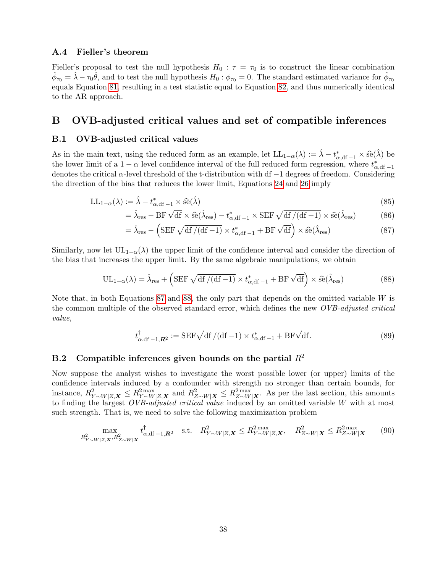#### A.4 Fieller's theorem

Fieller's proposal to test the null hypothesis  $H_0$ :  $\tau = \tau_0$  is to construct the linear combination  $\hat{\phi}_{\tau_0} = \hat{\lambda} - \tau_0 \hat{\theta}$ , and to test the null hypothesis  $H_0 : \phi_{\tau_0} = 0$ . The standard estimated variance for  $\hat{\phi}_{\tau_0}$ equals Equation [81,](#page-37-1) resulting in a test statistic equal to Equation [82,](#page-37-2) and thus numerically identical to the AR approach.

## B OVB-adjusted critical values and set of compatible inferences

### B.1 OVB-adjusted critical values

As in the main text, using the reduced form as an example, let  $LL_{1-\alpha}(\lambda) := \hat{\lambda} - t_{\alpha, \text{df}-1}^* \times \hat{\text{se}}(\hat{\lambda})$  be the length initiation of all separations interval of the full reduced form regression, where  $t^*$ the lower limit of a  $1 - \alpha$  level confidence interval of the full reduced form regression, where  $t_{\alpha, df-1}^*$ denotes the critical  $\alpha$ -level threshold of the t-distribution with df  $-1$  degrees of freedom. Considering the direction of the bias that reduces the lower limit, Equations [24](#page-12-0) and [26](#page-12-1) imply

$$
LL_{1-\alpha}(\lambda) := \hat{\lambda} - t_{\alpha, \text{df}-1}^* \times \hat{\text{se}}(\hat{\lambda})
$$
\n(85)

$$
\hat{\lambda}_{\text{res}} - \text{BF} \sqrt{\text{df}} \times \hat{\text{se}}(\hat{\lambda}_{\text{res}}) - t_{\alpha, \text{df}}^* - 1 \times \text{SEF} \sqrt{\text{df}/(\text{df} - 1)} \times \hat{\text{se}}(\hat{\lambda}_{\text{res}})
$$
(86)

<span id="page-38-0"></span>
$$
= \hat{\lambda}_{\text{res}} - \left( \text{SEF} \sqrt{\text{df} / (\text{df} - 1)} \times t_{\alpha, \text{df} - 1}^* + \text{BF} \sqrt{\text{df}} \right) \times \hat{\text{se}}(\hat{\lambda}_{\text{res}})
$$
(87)

Similarly, now let  $UL_{1-\alpha}(\lambda)$  the upper limit of the confidence interval and consider the direction of the bias that increases the upper limit. By the same algebraic manipulations, we obtain

$$
UL_{1-\alpha}(\lambda) = \hat{\lambda}_{\text{res}} + \left( \text{SEF } \sqrt{\text{df } / (\text{df } -1)} \times t_{\alpha, \text{df } -1}^* + \text{BF } \sqrt{\text{df}} \right) \times \hat{\text{se}}(\hat{\lambda}_{\text{res}})
$$
(88)

Note that, in both Equations [87](#page-38-0) and [88,](#page-38-1) the only part that depends on the omitted variable W is the common multiple of the observed standard error, which defines the new *OVB-adjusted critical* value,

<span id="page-38-1"></span>
$$
t_{\alpha, \mathrm{df}}^{\dagger}{}_{-1, \mathbf{R}^2} := \mathrm{SEF} \sqrt{\mathrm{df}/(\mathrm{df}-1)} \times t_{\alpha, \mathrm{df}-1}^* + \mathrm{BF} \sqrt{\mathrm{df}}.\tag{89}
$$

### B.2 Compatible inferences given bounds on the partial  $R^2$

Now suppose the analyst wishes to investigate the worst possible lower (or upper) limits of the confidence intervals induced by a confounder with strength no stronger than certain bounds, for instance,  $R_{Y \sim W|Z,\mathbf{X}}^2 \leq R_{Y \sim W|Z,\mathbf{X}}^2$  and  $R_{Z \sim W|\mathbf{X}}^2 \leq R_{Z \sim W|\mathbf{X}}^2$ . As per the last section, this amounts to finding the largest *OVB-adjusted critical value* induced by an omitted variable W with at most such strength. That is, we need to solve the following maximization problem

$$
\max_{R_{Y \sim W|Z,\mathbf{X}}^2, R_{Z \sim W|\mathbf{X}}^2} t_{\alpha, \mathrm{df}-1, \mathbf{R}^2}^{\dagger} \quad \text{s.t.} \quad R_{Y \sim W|Z,\mathbf{X}}^2 \le R_{Y \sim W|Z,\mathbf{X}}^{2\max}, \quad R_{Z \sim W|\mathbf{X}}^2 \le R_{Z \sim W|\mathbf{X}}^{2\max} \tag{90}
$$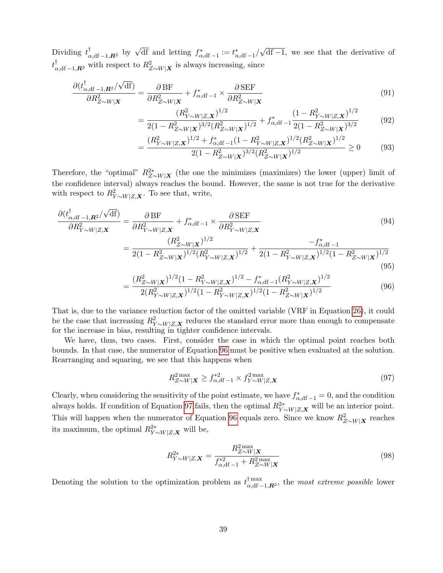Dividing  $t_{\alpha, df-1, \mathbf{R}^2}^{\dagger}$  by  $\sqrt{df}$  and letting  $f_{\alpha, df-1}^* := t_{\alpha, df-1}^*$ √ df −1, we see that the derivative of  $t_{\alpha,\text{df}-1,\mathbf{R}^2}^{\dagger}$  with respect to  $R_{Z\sim W|\mathbf{X}}^2$  is always increasing, since

$$
\frac{\partial (t_{\alpha, \text{df}}^{\dagger} - 1, \mathbf{R}^2 / \sqrt{\text{df}})}{\partial R_{Z \sim W | \mathbf{X}}^2} = \frac{\partial \text{BF}}{\partial R_{Z \sim W | \mathbf{X}}^2} + f_{\alpha, \text{df}}^* - 1 \times \frac{\partial \text{SEF}}{\partial R_{Z \sim W | \mathbf{X}}^2} \tag{91}
$$

$$
= \frac{(R_{Y \sim W|Z,\mathbf{X}}^2)^{1/2}}{2(1 - R_{Z \sim W|\mathbf{X}}^2)^{3/2} (R_{Z \sim W|\mathbf{X}}^2)^{1/2}} + f_{\alpha, df-1}^* \frac{(1 - R_{Y \sim W|Z,\mathbf{X}}^2)^{1/2}}{2(1 - R_{Z \sim W|\mathbf{X}}^2)^{3/2}}
$$
(92)

$$
=\frac{(R_{Y \sim W|Z,\mathbf{X}}^2)^{1/2} + f_{\alpha,\text{df}-1}^*(1 - R_{Y \sim W|Z,\mathbf{X}}^2)^{1/2} (R_{Z \sim W|\mathbf{X}}^2)^{1/2}}{2(1 - R_{Z \sim W|\mathbf{X}}^2)^{3/2} (R_{Z \sim W|\mathbf{X}}^2)^{1/2}} \ge 0
$$
(93)

Therefore, the "optimal"  $R_{Z \sim W|X}^{2*}$  (the one the minimizes (maximizes) the lower (upper) limit of the confidence interval) always reaches the bound. However, the same is not true for the derivative with respect to  $R_{Y \sim W|Z,\mathbf{X}}^2$ . To see that, write,

$$
\frac{\partial (t_{\alpha, df-1, R^2}^{\dagger}/\sqrt{df})}{\partial R_{Y \sim W|Z, \mathbf{X}}^2} = \frac{\partial BF}{\partial R_{Y \sim W|Z, \mathbf{X}}^2} + f_{\alpha, df-1}^* \times \frac{\partial SEF}{\partial R_{Y \sim W|Z, \mathbf{X}}^2} \qquad (94)
$$
\n
$$
= \frac{(R_{Z \sim W|X}^2)^{1/2}}{2(1 - R_{Z \sim W|X}^2)^{1/2} (R_{Y \sim W|Z, \mathbf{X}}^2)^{1/2}} + \frac{-f_{\alpha, df-1}^*}{2(1 - R_{Y \sim W|Z, \mathbf{X}}^2)^{1/2}(1 - R_{Z \sim W|X}^2)^{1/2}} \qquad (95)
$$

$$
=\frac{(R_{Z\sim W|\mathbf{X}}^2)^{1/2}(1-R_{Y\sim W|Z,\mathbf{X}}^2)^{1/2}-f_{\alpha,\text{df}-1}^*(R_{Y\sim W|Z,\mathbf{X}}^2)^{1/2}}{2(R_{Y\sim W|Z,\mathbf{X}}^2)^{1/2}(1-R_{Y\sim W|Z,\mathbf{X}}^2)^{1/2}(1-R_{Z\sim W|\mathbf{X}}^2)^{1/2}}
$$
(96)

That is, due to the variance reduction factor of the omitted variable (VRF in Equation [26\)](#page-12-1), it could be the case that increasing  $R_{Y \sim W|Z,\mathbf{X}}^2$  reduces the standard error more than enough to compensate for the increase in bias, resulting in tighter confidence intervals.

We have, thus, two cases. First, consider the case in which the optimal point reaches both bounds. In that case, the numerator of Equation [96](#page-39-0) must be positive when evaluated at the solution. Rearranging and squaring, we see that this happens when

<span id="page-39-1"></span><span id="page-39-0"></span>
$$
R_{Z \sim W|\mathbf{X}}^{\text{2 max}} \ge f_{\alpha, \text{df}}^{*2}{}_{-1} \times f_{Y \sim W|Z, \mathbf{X}}^{\text{2 max}} \tag{97}
$$

Clearly, when considering the sensitivity of the point estimate, we have  $f_{\alpha, df-1}^* = 0$ , and the condition always holds. If condition of Equation [97](#page-39-1) fails, then the optimal  $R_{Y \sim W|Z,\mathbf{X}}^{2*}$  will be an interior point. This will happen when the numerator of Equation [96](#page-39-0) equals zero. Since we know  $R_{Z\sim W|X}^2$  reaches its maximum, the optimal  $R_{Y \sim W|Z,\mathbf{X}}^{2*}$  will be,

<span id="page-39-2"></span>
$$
R_{Y \sim W|Z,\mathbf{X}}^{2*} = \frac{R_{Z \sim W|\mathbf{X}}^{2\max}}{f_{\alpha, \text{df}}^{*2} - 1 + R_{Z \sim W|\mathbf{X}}^{2\max}}
$$
(98)

Denoting the solution to the optimization problem as  $t_{\alpha d}^{\dagger \max}$  $\prod_{\alpha,d\mathbf{f} - 1,\mathbf{R}^2}^{\text{max}}$ , the most extreme possible lower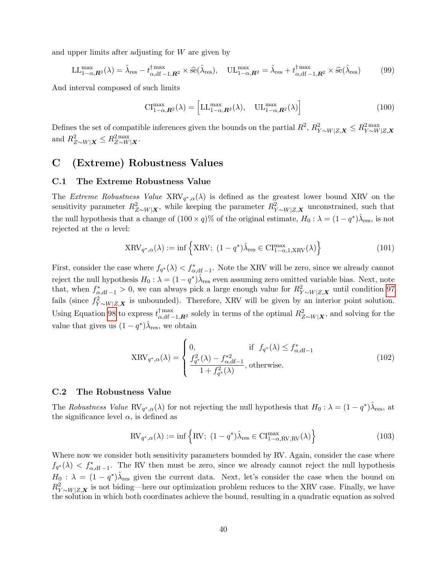and upper limits after adjusting for  $W$  are given by

$$
LL_{1-\alpha,\mathbf{R}^2}^{\max}(\lambda) = \hat{\lambda}_{\text{res}} - t_{\alpha,\text{df}-1,\mathbf{R}^2}^{\max} \times \hat{\text{se}}(\hat{\lambda}_{\text{res}}), \quad UL_{1-\alpha,\mathbf{R}^2}^{\max} = \hat{\lambda}_{\text{res}} + t_{\alpha,\text{df}-1,\mathbf{R}^2}^{\max} \times \hat{\text{se}}(\hat{\lambda}_{\text{res}})
$$
(99)

And interval composed of such limits

$$
\mathrm{CI}_{1-\alpha,\boldsymbol{R}^2}^{\max}(\lambda) = \left[ \mathrm{LL}_{1-\alpha,\boldsymbol{R}^2}^{\max}(\lambda), \quad \mathrm{UL}_{1-\alpha,\boldsymbol{R}^2}^{\max}(\lambda) \right] \tag{100}
$$

Defines the set of compatible inferences given the bounds on the partial  $R^2$ ,  $R_{Y\sim W|Z,\mathbf{X}}^2 \leq R_{Y\sim W|Z,\mathbf{X}}^{2\max}$ and  $R_{Z\sim W|\boldsymbol{X}}^2 \leq R_{Z\sim W|\boldsymbol{X}}^2$ .

# C (Extreme) Robustness Values

#### C.1 The Extreme Robustness Value

The Extreme Robustness Value  $XRV_{q^*,\alpha}(\lambda)$  is defined as the greatest lower bound XRV on the sensitivity parameter  $R_{Z \sim W|\mathbf{X}}^2$ , while keeping the parameter  $R_{Y \sim W|Z,\mathbf{X}}^2$  unconstrained, such that the null hypothesis that a change of  $(100 \times q)$ % of the original estimate,  $H_0: \lambda = (1 - q^*)\hat{\lambda}_{\text{res}}$ , is not rejected at the  $\alpha$  level:

$$
XRV_{q^*,\alpha}(\lambda) := \inf \left\{ XRV; \ (1 - q^*) \hat{\lambda}_{\text{res}} \in \text{CI}^{\text{max}}_{1-\alpha,1,\text{XRV}}(\lambda) \right\}
$$
(101)

First, consider the case where  $f_{q^*}(\lambda) < f^*_{\alpha, df-1}$ . Note the XRV will be zero, since we already cannot reject the null hypothesis  $H_0: \lambda = (1-q^*)\hat{\lambda}_{\text{res}}$  even assuming zero omitted variable bias. Next, note that, when  $f_{\alpha,\text{df}-1}^* > 0$ , we can always pick a large enough value for  $R_{Y \sim W|Z,\textbf{X}}^2$  until condition [97](#page-39-1) fails (since  $f_{Y \sim W|Z,\mathbf{X}}^2$  is unbounded). Therefore, XRV will be given by an interior point solution. Using Equation [98](#page-39-2) to express  $t_{\alpha, df-1, R^2}^{\dagger, \max}$  solely in terms of the optimal  $R_{Z\sim W|\mathbf{X}}^2$ , and solving for the value that gives us  $(1-q^*)\hat{\lambda}_{\text{res}}$ , we obtain

$$
XRV_{q^*,\alpha}(\lambda) = \begin{cases} 0, & \text{if } f_{q^*}(\lambda) \le f_{\alpha,\text{df}-1}^* \\ \frac{f_{q^*}^2(\lambda) - f_{\alpha,\text{df}-1}^{*2}}{1 + f_{q^*}^2(\lambda)}, & \text{otherwise.} \end{cases} \tag{102}
$$

#### C.2 The Robustness Value

The Robustness Value RV<sub>q<sup>\*</sup>, $\alpha(\lambda)$ </sub> for not rejecting the null hypothesis that  $H_0: \lambda = (1-q^*)\hat{\lambda}_{\text{res}}$ , at the significance level  $\alpha$ , is defined as

$$
RV_{q^*,\alpha}(\lambda) := \inf \left\{ RV; \ (1 - q^*)\hat{\lambda}_{\text{res}} \in \text{CI}_{1-\alpha,\text{RV},\text{RV}}^{\text{max}}(\lambda) \right\}
$$
(103)

Where now we consider both sensitivity parameters bounded by RV. Again, consider the case where  $f_{q^*}(\lambda) < f_{\alpha, df-1}^*$ . The RV then must be zero, since we already cannot reject the null hypothesis  $H_0$ :  $\lambda = (1 - q^*)\hat{\lambda}_{\text{res}}$  given the current data. Next, let's consider the case when the bound on  $R_{Y \sim W|Z,\mathbf{X}}^2$  is not biding—here our optimization problem reduces to the XRV case. Finally, we have the solution in which both coordinates achieve the bound, resulting in a quadratic equation as solved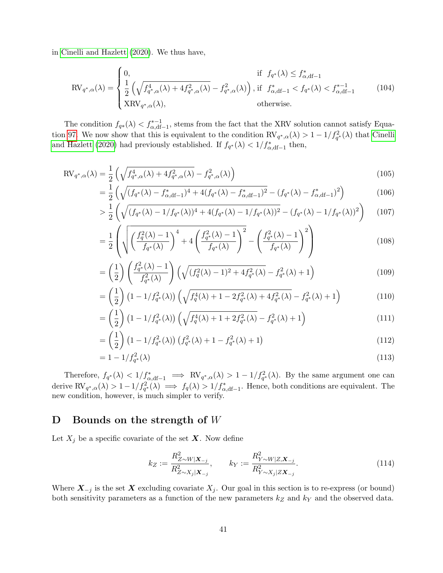in [Cinelli and Hazlett](#page-32-9) [\(2020\)](#page-32-9). We thus have,

$$
\text{RV}_{q^*,\alpha}(\lambda) = \begin{cases} 0, & \text{if } f_{q^*}(\lambda) \le f_{\alpha,\text{df}-1}^* \\ \frac{1}{2} \left( \sqrt{f_{q^*,\alpha}^4(\lambda) + 4f_{q^*,\alpha}^2(\lambda)} - f_{q^*,\alpha}^2(\lambda) \right), & \text{if } f_{\alpha,\text{df}-1}^* < f_{q^*}(\lambda) < f_{\alpha,\text{df}-1}^{*-1} \\ \text{XRV}_{q^*,\alpha}(\lambda), & \text{otherwise.} \end{cases} \tag{104}
$$

The condition  $f_{q*}(\lambda) < f_{\alpha, df-1}^{*-1}$ , stems from the fact that the XRV solution cannot satisfy Equa-tion [97.](#page-39-1) We now show that this is equivalent to the condition  $RV_{q^*,\alpha}(\lambda) > 1 - 1/f_{q^*}^2(\lambda)$  that [Cinelli](#page-32-9) [and Hazlett](#page-32-9) [\(2020\)](#page-32-9) had previously established. If  $f_{q^*}(\lambda) < 1/f_{\alpha, df-1}^*$  then,

$$
RV_{q^*,\alpha}(\lambda) = \frac{1}{2} \left( \sqrt{f_{q^*,\alpha}^4(\lambda) + 4f_{q^*,\alpha}^2(\lambda)} - f_{q^*,\alpha}^2(\lambda) \right)
$$
(105)

$$
= \frac{1}{2} \left( \sqrt{(f_{q^*}(\lambda) - f^*_{\alpha, df-1})^4 + 4(f_{q^*}(\lambda) - f^*_{\alpha, df-1})^2} - (f_{q^*}(\lambda) - f^*_{\alpha, df-1})^2 \right) \tag{106}
$$

$$
> \frac{1}{2} \left( \sqrt{(f_{q^*}(\lambda) - 1/f_{q^*}(\lambda))^4 + 4(f_{q^*}(\lambda) - 1/f_{q^*}(\lambda))^2} - (f_{q^*}(\lambda) - 1/f_{q^*}(\lambda))^2 \right) \tag{107}
$$

$$
= \frac{1}{2} \left( \sqrt{\left( \frac{f_q^2(\lambda) - 1}{f_{q^*}(\lambda)} \right)^4 + 4 \left( \frac{f_{q^*}^2(\lambda) - 1}{f_{q^*}(\lambda)} \right)^2} - \left( \frac{f_{q^*}^2(\lambda) - 1}{f_{q^*}(\lambda)} \right)^2 \right) \tag{108}
$$

$$
= \left(\frac{1}{2}\right) \left(\frac{f_{q^*}^2(\lambda) - 1}{f_{q^*}^2(\lambda)}\right) \left(\sqrt{(f_q^2(\lambda) - 1)^2 + 4f_{q^*}^2(\lambda)} - f_{q^*}^2(\lambda) + 1\right) \tag{109}
$$

$$
= \left(\frac{1}{2}\right) \left(1 - 1/f_{q^*}^2(\lambda)\right) \left(\sqrt{f_q^4(\lambda) + 1 - 2f_{q^*}^2(\lambda) + 4f_{q^*}^2(\lambda)} - f_{q^*}^2(\lambda) + 1\right) \tag{110}
$$

$$
= \left(\frac{1}{2}\right) \left(1 - 1/f_{q^*}^2(\lambda)\right) \left(\sqrt{f_q^4(\lambda) + 1 + 2f_{q^*}^2(\lambda)} - f_{q^*}^2(\lambda) + 1\right) \tag{111}
$$

$$
= \left(\frac{1}{2}\right) \left(1 - 1/f_{q^*}^2(\lambda)\right) \left(f_{q^*}^2(\lambda) + 1 - f_{q^*}^2(\lambda) + 1\right) \tag{112}
$$

$$
= 1 - 1/f_{q^*}^2(\lambda)
$$
\n(113)

Therefore,  $f_{q^*}(\lambda) < 1/f_{\alpha, df-1}^* \implies RV_{q^*,\alpha}(\lambda) > 1 - 1/f_{q^*}^2(\lambda)$ . By the same argument one can derive  $\text{RV}_{q^*,\alpha}(\lambda) > 1 - 1/f_{q^*}^2(\lambda) \implies f_q(\lambda) > 1/f_{\alpha,\text{df}-1}^*$ . Hence, both conditions are equivalent. The new condition, however, is much simpler to verify.

# D Bounds on the strength of  $W$

Let  $X_j$  be a specific covariate of the set  $\boldsymbol{X}$ . Now define

$$
k_Z := \frac{R_{Z \sim W|X_{-j}}^2}{R_{Z \sim X_j|X_{-j}}^2}, \qquad k_Y := \frac{R_{Y \sim W|Z, X_{-j}}^2}{R_{Y \sim X_j|ZX_{-j}}^2}.
$$
\n(114)

Where  $X_{-j}$  is the set X excluding covariate  $X_j$ . Our goal in this section is to re-express (or bound) both sensitivity parameters as a function of the new parameters  $k_Z$  and  $k_Y$  and the observed data.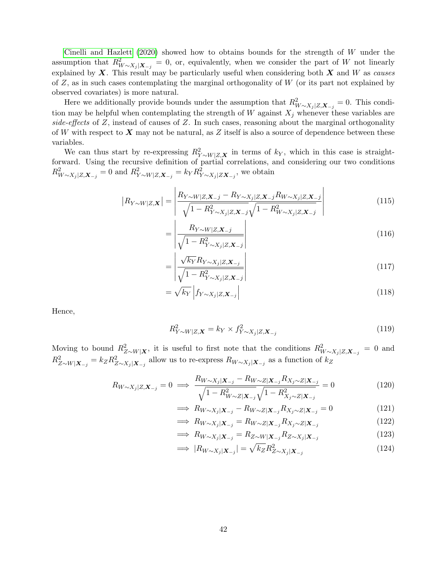[Cinelli and Hazlett](#page-32-9)  $(2020)$  showed how to obtains bounds for the strength of W under the assumption that  $R_{W\sim X_j|X_{-j}}^2=0$ , or, equivalently, when we consider the part of W not linearly explained by  $X$ . This result may be particularly useful when considering both  $X$  and  $W$  as causes of  $Z$ , as in such cases contemplating the marginal orthogonality of  $W$  (or its part not explained by observed covariates) is more natural.

Here we additionally provide bounds under the assumption that  $R_{W \sim X_j|Z,\mathbf{X}_{-j}}^2 = 0$ . This condition may be helpful when contemplating the strength of W against  $X_j$  whenever these variables are side-effects of  $Z$ , instead of causes of  $Z$ . In such cases, reasoning about the marginal orthogonality of W with respect to X may not be natural, as Z itself is also a source of dependence between these variables.

We can thus start by re-expressing  $R_{Y \sim W|Z,\mathbf{X}}^2$  in terms of  $k_Y$ , which in this case is straightforward. Using the recursive definition of partial correlations, and considering our two conditions  $R_{W \sim X_j|Z,\mathbf{X}_{-j}}^2 = 0$  and  $R_{Y \sim W|Z,\mathbf{X}_{-j}}^2 = k_Y R_{Y \sim X_j|Z\mathbf{X}_{-j}}^2$ , we obtain

$$
|R_{Y \sim W|Z,\mathbf{X}}| = \left| \frac{R_{Y \sim W|Z,\mathbf{X}-j} - R_{Y \sim X_j|Z,\mathbf{X}-j}R_{W \sim X_j|Z,\mathbf{X}-j}}{\sqrt{1 - R_{Y \sim X_j|Z,\mathbf{X}-j}^2} \sqrt{1 - R_{W \sim X_j|Z,\mathbf{X}-j}^2}} \right|
$$
(115)

$$
=\left|\frac{R_{Y\sim W|Z,\mathbf{X}_{-j}}}{\sqrt{1-R_{Y\sim X_j|Z,\mathbf{X}_{-j}}^2}}\right|
$$
\n(116)

$$
=\left|\frac{\sqrt{k_{Y}}R_{Y\sim X_{j}|Z,\mathbf{X}_{-j}}}{\sqrt{1-R_{Y\sim X_{j}|Z,\mathbf{X}_{-j}}^{2}}}\right|
$$
\n(117)

$$
=\sqrt{k_{Y}}\left|f_{Y\sim X_{j}|Z,\mathbf{X}_{-j}}\right|\tag{118}
$$

Hence,

$$
R_{Y \sim W|Z,\mathbf{X}}^2 = k_Y \times f_{Y \sim X_j|Z,\mathbf{X}_{-j}}^2 \tag{119}
$$

Moving to bound  $R_{Z\sim W|X}^2$ , it is useful to first note that the conditions  $R_{W\sim X_j|Z,\mathbf{X}_{-j}}^2=0$  and  $R_{Z \sim W|\mathbf{X}_{-j}}^2 = k_Z R_{Z \sim X_j|\mathbf{X}_{-j}}^2$  allow us to re-express  $R_{W \sim X_j|\mathbf{X}_{-j}}$  as a function of  $k_Z$ 

$$
R_{W \sim X_j | Z, \mathbf{X}_{-j}} = 0 \implies \frac{R_{W \sim X_j | \mathbf{X}_{-j}} - R_{W \sim Z | \mathbf{X}_{-j}} R_{X_j \sim Z | \mathbf{X}_{-j}}}{\sqrt{1 - R_{W \sim Z | \mathbf{X}_{-j}}^2} \sqrt{1 - R_{X_j \sim Z | \mathbf{X}_{-j}}^2}} = 0
$$
\n(120)

$$
\implies R_{W \sim X_j | \mathbf{X}_{-j}} - R_{W \sim Z | \mathbf{X}_{-j}} R_{X_j \sim Z | \mathbf{X}_{-j}} = 0 \tag{121}
$$

$$
\implies R_{W \sim X_j | \mathbf{X}_{-j}} = R_{W \sim Z | \mathbf{X}_{-j}} R_{X_j \sim Z | \mathbf{X}_{-j}} \tag{122}
$$

$$
\implies R_{W \sim X_j | \mathbf{X}_{-j}} = R_{Z \sim W | \mathbf{X}_{-j}} R_{Z \sim X_j | \mathbf{X}_{-j}} \tag{123}
$$

$$
\implies |R_{W \sim X_j|\mathbf{X}_{-j}}| = \sqrt{k_Z} R_{Z \sim X_j|\mathbf{X}_{-j}}^2 \tag{124}
$$